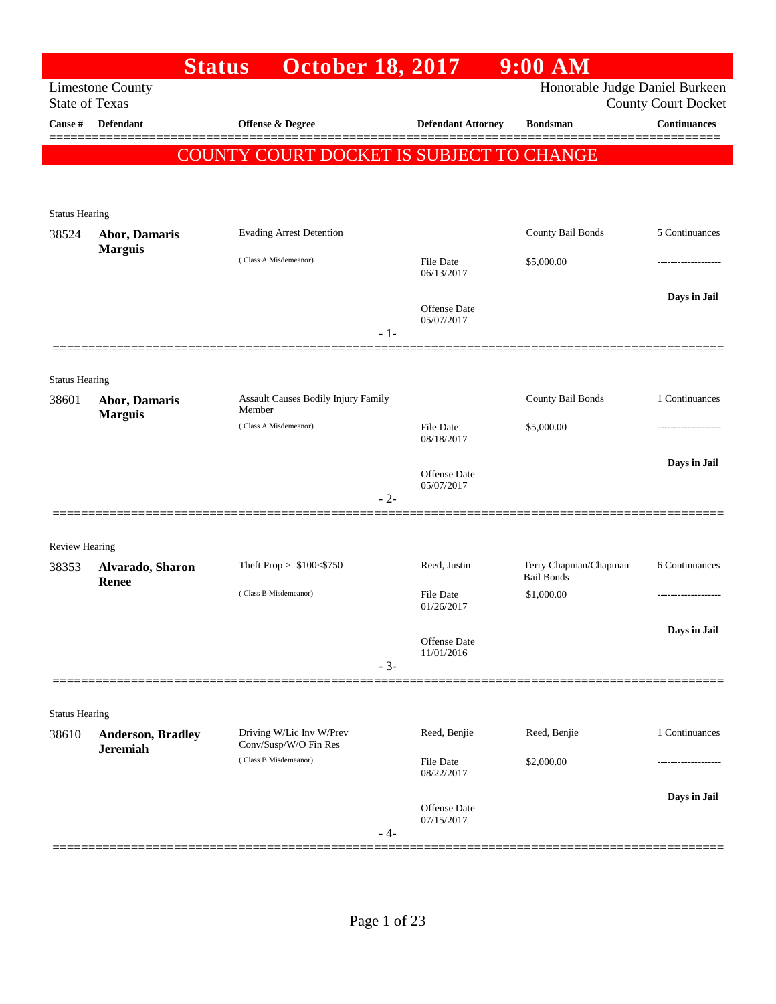|                                  |                           | <b>Status</b>                                     | <b>October 18, 2017</b>             |       |                                   | $9:00$ AM                                  |                                                   |
|----------------------------------|---------------------------|---------------------------------------------------|-------------------------------------|-------|-----------------------------------|--------------------------------------------|---------------------------------------------------|
|                                  | <b>Limestone County</b>   |                                                   |                                     |       |                                   | Honorable Judge Daniel Burkeen             |                                                   |
| <b>State of Texas</b><br>Cause # | <b>Defendant</b>          | Offense & Degree                                  |                                     |       | <b>Defendant Attorney</b>         | <b>Bondsman</b>                            | <b>County Court Docket</b><br><b>Continuances</b> |
|                                  |                           |                                                   |                                     |       |                                   |                                            |                                                   |
|                                  |                           | COUNTY COURT DOCKET IS SUBJECT TO CHANGE          |                                     |       |                                   |                                            |                                                   |
|                                  |                           |                                                   |                                     |       |                                   |                                            |                                                   |
| <b>Status Hearing</b>            |                           |                                                   |                                     |       |                                   |                                            |                                                   |
| 38524                            | Abor, Damaris             | <b>Evading Arrest Detention</b>                   |                                     |       |                                   | County Bail Bonds                          | 5 Continuances                                    |
|                                  | <b>Marguis</b>            | (Class A Misdemeanor)                             |                                     |       | <b>File Date</b>                  | \$5,000.00                                 |                                                   |
|                                  |                           |                                                   |                                     |       | 06/13/2017                        |                                            |                                                   |
|                                  |                           |                                                   |                                     |       | <b>Offense Date</b>               |                                            | Days in Jail                                      |
|                                  |                           |                                                   |                                     |       | 05/07/2017                        |                                            |                                                   |
|                                  |                           |                                                   |                                     | $-1-$ |                                   |                                            |                                                   |
|                                  |                           |                                                   |                                     |       |                                   |                                            |                                                   |
| <b>Status Hearing</b><br>38601   | <b>Abor, Damaris</b>      |                                                   | Assault Causes Bodily Injury Family |       |                                   | County Bail Bonds                          | 1 Continuances                                    |
|                                  | <b>Marguis</b>            | Member                                            |                                     |       |                                   |                                            |                                                   |
|                                  |                           | (Class A Misdemeanor)                             |                                     |       | <b>File Date</b><br>08/18/2017    | \$5,000.00                                 |                                                   |
|                                  |                           |                                                   |                                     |       |                                   |                                            | Days in Jail                                      |
|                                  |                           |                                                   |                                     |       | <b>Offense Date</b><br>05/07/2017 |                                            |                                                   |
|                                  |                           |                                                   |                                     | $-2-$ |                                   |                                            |                                                   |
|                                  |                           |                                                   |                                     |       |                                   |                                            |                                                   |
| <b>Review Hearing</b>            |                           |                                                   |                                     |       |                                   |                                            |                                                   |
| 38353                            | Alvarado, Sharon<br>Renee | Theft Prop >=\$100<\$750                          |                                     |       | Reed, Justin                      | Terry Chapman/Chapman<br><b>Bail Bonds</b> | 6 Continuances                                    |
|                                  |                           | (Class B Misdemeanor)                             |                                     |       | <b>File Date</b><br>01/26/2017    | \$1,000.00                                 |                                                   |
|                                  |                           |                                                   |                                     |       |                                   |                                            | Days in Jail                                      |
|                                  |                           |                                                   |                                     |       | <b>Offense Date</b><br>11/01/2016 |                                            |                                                   |
|                                  |                           |                                                   |                                     | $-3-$ |                                   |                                            |                                                   |
|                                  |                           |                                                   |                                     |       |                                   |                                            |                                                   |
| <b>Status Hearing</b>            |                           |                                                   |                                     |       |                                   |                                            |                                                   |
| 38610                            | <b>Anderson, Bradley</b>  | Driving W/Lic Inv W/Prev<br>Conv/Susp/W/O Fin Res |                                     |       | Reed, Benjie                      | Reed, Benjie                               | 1 Continuances                                    |
|                                  | <b>Jeremiah</b>           | (Class B Misdemeanor)                             |                                     |       | File Date                         | \$2,000.00                                 | ----------------                                  |
|                                  |                           |                                                   |                                     |       | 08/22/2017                        |                                            |                                                   |
|                                  |                           |                                                   |                                     |       | Offense Date                      |                                            | Days in Jail                                      |
|                                  |                           |                                                   |                                     | - 4-  | 07/15/2017                        |                                            |                                                   |
|                                  |                           |                                                   |                                     |       |                                   |                                            |                                                   |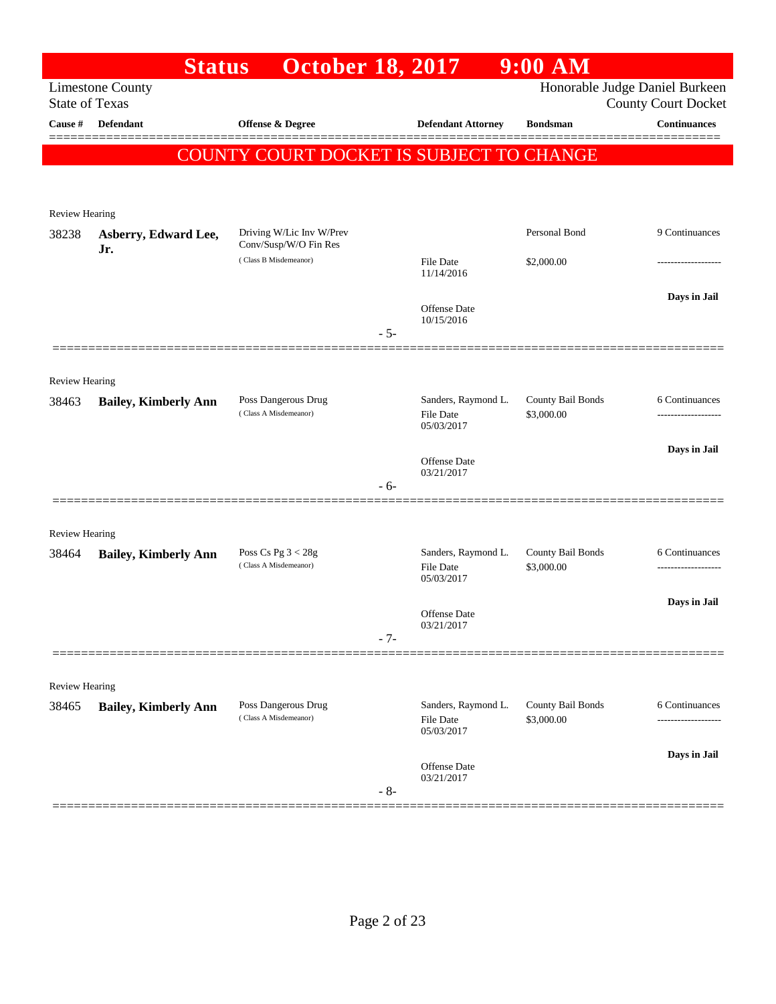|                       | <b>Status</b>               | <b>October 18, 2017</b>                           |       |                                                       | $9:00$ AM                       |                                                   |
|-----------------------|-----------------------------|---------------------------------------------------|-------|-------------------------------------------------------|---------------------------------|---------------------------------------------------|
| <b>State of Texas</b> | <b>Limestone County</b>     |                                                   |       |                                                       |                                 | Honorable Judge Daniel Burkeen                    |
| Cause #               | Defendant                   | Offense & Degree                                  |       | <b>Defendant Attorney</b>                             | <b>Bondsman</b>                 | <b>County Court Docket</b><br><b>Continuances</b> |
|                       |                             |                                                   |       |                                                       |                                 |                                                   |
|                       |                             | COUNTY COURT DOCKET IS SUBJECT TO CHANGE          |       |                                                       |                                 |                                                   |
|                       |                             |                                                   |       |                                                       |                                 |                                                   |
| Review Hearing        |                             |                                                   |       |                                                       |                                 |                                                   |
| 38238                 | Asberry, Edward Lee,        | Driving W/Lic Inv W/Prev<br>Conv/Susp/W/O Fin Res |       |                                                       | Personal Bond                   | 9 Continuances                                    |
|                       | Jr.                         | (Class B Misdemeanor)                             |       | <b>File Date</b><br>11/14/2016                        | \$2,000.00                      |                                                   |
|                       |                             |                                                   |       |                                                       |                                 | Days in Jail                                      |
|                       |                             |                                                   |       | Offense Date<br>10/15/2016                            |                                 |                                                   |
|                       |                             |                                                   | $-5-$ |                                                       |                                 |                                                   |
|                       | ==============              |                                                   |       |                                                       |                                 |                                                   |
| <b>Review Hearing</b> |                             |                                                   |       |                                                       |                                 |                                                   |
| 38463                 | <b>Bailey, Kimberly Ann</b> | Poss Dangerous Drug<br>(Class A Misdemeanor)      |       | Sanders, Raymond L.<br><b>File Date</b>               | County Bail Bonds<br>\$3,000.00 | 6 Continuances                                    |
|                       |                             |                                                   |       | 05/03/2017                                            |                                 |                                                   |
|                       |                             |                                                   |       | <b>Offense</b> Date                                   |                                 | Days in Jail                                      |
|                       |                             |                                                   | $-6-$ | 03/21/2017                                            |                                 |                                                   |
|                       |                             |                                                   |       |                                                       |                                 |                                                   |
| <b>Review Hearing</b> |                             |                                                   |       |                                                       |                                 |                                                   |
| 38464                 | <b>Bailey, Kimberly Ann</b> | Poss Cs Pg $3 < 28g$                              |       | Sanders, Raymond L.                                   | County Bail Bonds               | 6 Continuances                                    |
|                       |                             | (Class A Misdemeanor)                             |       | File Date<br>05/03/2017                               | \$3,000.00                      | -----------------                                 |
|                       |                             |                                                   |       |                                                       |                                 | Days in Jail                                      |
|                       |                             |                                                   |       | Offense Date<br>03/21/2017                            |                                 |                                                   |
|                       |                             |                                                   | $-7-$ |                                                       |                                 |                                                   |
|                       |                             |                                                   |       |                                                       |                                 |                                                   |
| Review Hearing        |                             |                                                   |       |                                                       |                                 |                                                   |
| 38465                 | <b>Bailey, Kimberly Ann</b> | Poss Dangerous Drug<br>(Class A Misdemeanor)      |       | Sanders, Raymond L.<br><b>File Date</b><br>05/03/2017 | County Bail Bonds<br>\$3,000.00 | 6 Continuances                                    |
|                       |                             |                                                   |       |                                                       |                                 | Days in Jail                                      |
|                       |                             |                                                   |       | Offense Date<br>03/21/2017                            |                                 |                                                   |
|                       |                             |                                                   | $-8-$ |                                                       |                                 |                                                   |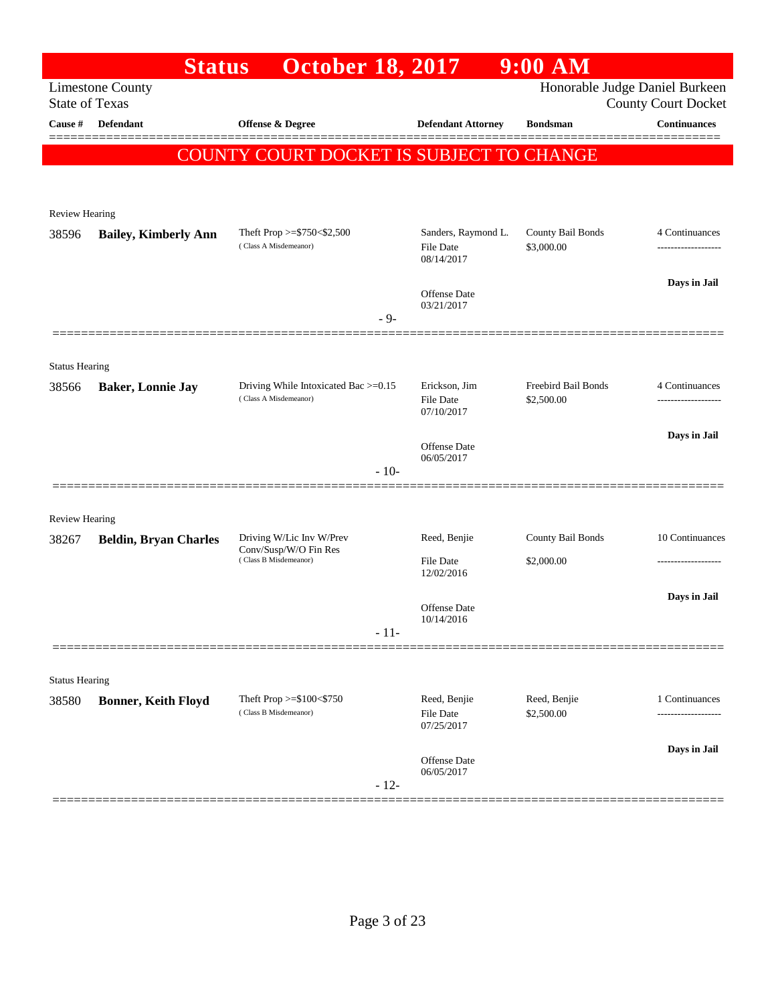|                                | <b>Status</b>                | <b>October 18, 2017</b>                                    |                                                | $9:00$ AM                       |                                                              |
|--------------------------------|------------------------------|------------------------------------------------------------|------------------------------------------------|---------------------------------|--------------------------------------------------------------|
| <b>State of Texas</b>          | <b>Limestone County</b>      |                                                            |                                                |                                 | Honorable Judge Daniel Burkeen<br><b>County Court Docket</b> |
| Cause #                        | <b>Defendant</b>             | <b>Offense &amp; Degree</b>                                | <b>Defendant Attorney</b>                      | <b>Bondsman</b>                 | <b>Continuances</b>                                          |
|                                |                              |                                                            |                                                |                                 |                                                              |
|                                |                              | COUNTY COURT DOCKET IS SUBJECT TO CHANGE                   |                                                |                                 |                                                              |
|                                |                              |                                                            |                                                |                                 |                                                              |
| <b>Review Hearing</b>          |                              |                                                            |                                                |                                 |                                                              |
| 38596                          | <b>Bailey, Kimberly Ann</b>  | Theft Prop $>=$ \$750 $<$ \$2,500<br>(Class A Misdemeanor) | Sanders, Raymond L.<br>File Date<br>08/14/2017 | County Bail Bonds<br>\$3,000.00 | 4 Continuances                                               |
|                                |                              |                                                            | <b>Offense Date</b><br>03/21/2017              |                                 | Days in Jail                                                 |
|                                |                              | - 9-                                                       |                                                |                                 |                                                              |
|                                |                              |                                                            |                                                |                                 |                                                              |
| <b>Status Hearing</b><br>38566 |                              | Driving While Intoxicated Bac >=0.15                       | Erickson, Jim                                  | Freebird Bail Bonds             | 4 Continuances                                               |
|                                | <b>Baker, Lonnie Jay</b>     | (Class A Misdemeanor)                                      | <b>File Date</b><br>07/10/2017                 | \$2,500.00                      | .                                                            |
|                                |                              |                                                            |                                                |                                 | Days in Jail                                                 |
|                                |                              |                                                            | <b>Offense Date</b><br>06/05/2017              |                                 |                                                              |
|                                |                              | $-10-$                                                     |                                                |                                 |                                                              |
| <b>Review Hearing</b>          |                              |                                                            |                                                |                                 |                                                              |
| 38267                          | <b>Beldin, Bryan Charles</b> | Driving W/Lic Inv W/Prev                                   | Reed, Benjie                                   | County Bail Bonds               | 10 Continuances                                              |
|                                |                              | Conv/Susp/W/O Fin Res<br>(Class B Misdemeanor)             | <b>File Date</b><br>12/02/2016                 | \$2,000.00                      |                                                              |
|                                |                              |                                                            |                                                |                                 | Days in Jail                                                 |
|                                |                              |                                                            | Offense Date<br>$10/14/2016\,$                 |                                 |                                                              |
|                                |                              | $-11-$                                                     |                                                |                                 |                                                              |
| <b>Status Hearing</b>          |                              |                                                            |                                                |                                 |                                                              |
| 38580                          | <b>Bonner, Keith Floyd</b>   | Theft Prop >=\$100<\$750<br>(Class B Misdemeanor)          | Reed, Benjie<br>File Date                      | Reed, Benjie<br>\$2,500.00      | 1 Continuances<br>-----------------                          |
|                                |                              |                                                            | 07/25/2017                                     |                                 |                                                              |
|                                |                              | $-12-$                                                     | Offense Date<br>06/05/2017                     |                                 | Days in Jail                                                 |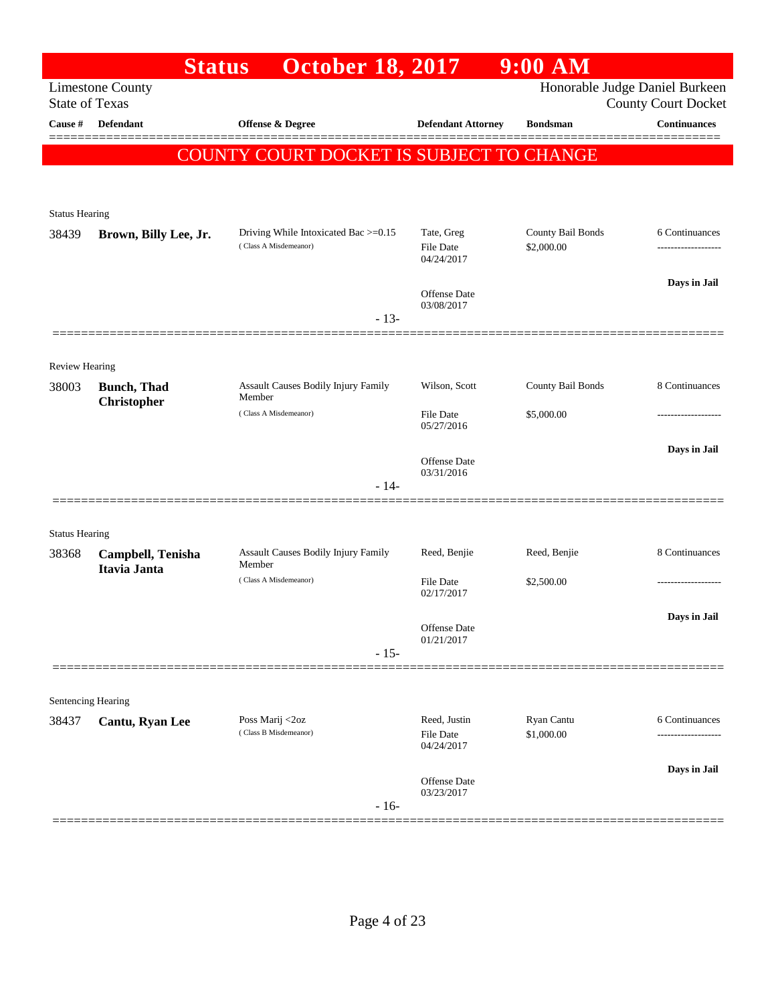| <b>October 18, 2017</b><br><b>Status</b><br><b>Limestone County</b><br><b>State of Texas</b><br><b>Defendant</b><br><b>Offense &amp; Degree</b><br>Cause #<br><b>Defendant Attorney</b><br><b>Bondsman</b><br>COUNTY COURT DOCKET IS SUBJECT TO CHANGE<br><b>Status Hearing</b><br>County Bail Bonds<br>Driving While Intoxicated Bac >=0.15<br>Tate, Greg<br>38439<br>Brown, Billy Lee, Jr.<br>(Class A Misdemeanor)<br>\$2,000.00<br><b>File Date</b><br>04/24/2017<br><b>Offense Date</b><br>03/08/2017 | Honorable Judge Daniel Burkeen<br><b>County Court Docket</b><br><b>Continuances</b><br>6 Continuances |
|------------------------------------------------------------------------------------------------------------------------------------------------------------------------------------------------------------------------------------------------------------------------------------------------------------------------------------------------------------------------------------------------------------------------------------------------------------------------------------------------------------|-------------------------------------------------------------------------------------------------------|
|                                                                                                                                                                                                                                                                                                                                                                                                                                                                                                            |                                                                                                       |
|                                                                                                                                                                                                                                                                                                                                                                                                                                                                                                            |                                                                                                       |
|                                                                                                                                                                                                                                                                                                                                                                                                                                                                                                            |                                                                                                       |
|                                                                                                                                                                                                                                                                                                                                                                                                                                                                                                            |                                                                                                       |
|                                                                                                                                                                                                                                                                                                                                                                                                                                                                                                            |                                                                                                       |
|                                                                                                                                                                                                                                                                                                                                                                                                                                                                                                            |                                                                                                       |
|                                                                                                                                                                                                                                                                                                                                                                                                                                                                                                            |                                                                                                       |
|                                                                                                                                                                                                                                                                                                                                                                                                                                                                                                            | Days in Jail                                                                                          |
| $-13-$                                                                                                                                                                                                                                                                                                                                                                                                                                                                                                     |                                                                                                       |
|                                                                                                                                                                                                                                                                                                                                                                                                                                                                                                            |                                                                                                       |
| <b>Review Hearing</b>                                                                                                                                                                                                                                                                                                                                                                                                                                                                                      |                                                                                                       |
| County Bail Bonds<br>Assault Causes Bodily Injury Family<br>Wilson, Scott<br><b>Bunch</b> , Thad<br>38003                                                                                                                                                                                                                                                                                                                                                                                                  | 8 Continuances                                                                                        |
| Member<br>Christopher<br>(Class A Misdemeanor)<br>\$5,000.00<br><b>File Date</b><br>05/27/2016                                                                                                                                                                                                                                                                                                                                                                                                             |                                                                                                       |
| <b>Offense Date</b>                                                                                                                                                                                                                                                                                                                                                                                                                                                                                        | Days in Jail                                                                                          |
| 03/31/2016                                                                                                                                                                                                                                                                                                                                                                                                                                                                                                 |                                                                                                       |
| $-14-$                                                                                                                                                                                                                                                                                                                                                                                                                                                                                                     |                                                                                                       |
| <b>Status Hearing</b>                                                                                                                                                                                                                                                                                                                                                                                                                                                                                      |                                                                                                       |
| Assault Causes Bodily Injury Family<br>Reed, Benjie<br>Reed, Benjie<br>38368<br>Campbell, Tenisha<br>Member<br>Itavia Janta                                                                                                                                                                                                                                                                                                                                                                                | 8 Continuances                                                                                        |
| (Class A Misdemeanor)<br>\$2,500.00<br><b>File Date</b><br>02/17/2017                                                                                                                                                                                                                                                                                                                                                                                                                                      |                                                                                                       |
|                                                                                                                                                                                                                                                                                                                                                                                                                                                                                                            | Days in Jail                                                                                          |
| Offense Date<br>01/21/2017                                                                                                                                                                                                                                                                                                                                                                                                                                                                                 |                                                                                                       |
| $-15-$                                                                                                                                                                                                                                                                                                                                                                                                                                                                                                     |                                                                                                       |
|                                                                                                                                                                                                                                                                                                                                                                                                                                                                                                            |                                                                                                       |
| Sentencing Hearing                                                                                                                                                                                                                                                                                                                                                                                                                                                                                         |                                                                                                       |
| Reed, Justin<br>Ryan Cantu<br>Poss Marij <2oz<br>38437<br>Cantu, Ryan Lee<br>(Class B Misdemeanor)<br>\$1,000.00<br><b>File Date</b><br>04/24/2017                                                                                                                                                                                                                                                                                                                                                         | 6 Continuances                                                                                        |
| Offense Date                                                                                                                                                                                                                                                                                                                                                                                                                                                                                               | Days in Jail                                                                                          |
| 03/23/2017<br>$-16-$                                                                                                                                                                                                                                                                                                                                                                                                                                                                                       |                                                                                                       |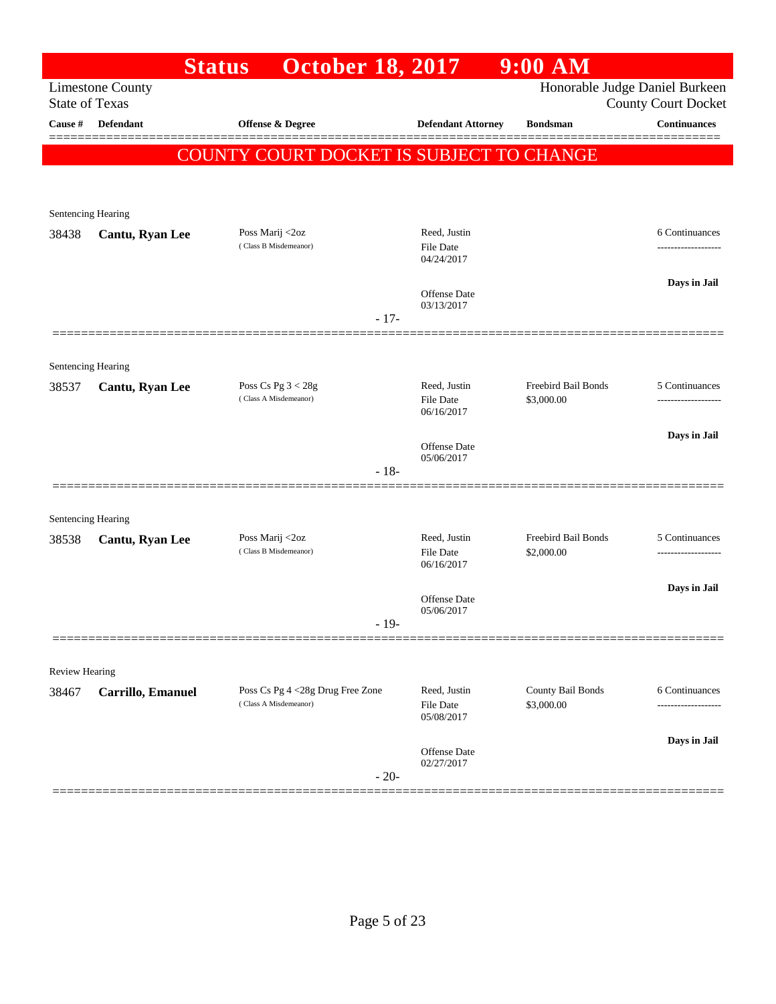|                       |                         | <b>October 18, 2017</b><br><b>Status</b>                  |        |                                  | $9:00$ AM                       |                                                              |
|-----------------------|-------------------------|-----------------------------------------------------------|--------|----------------------------------|---------------------------------|--------------------------------------------------------------|
| <b>State of Texas</b> | <b>Limestone County</b> |                                                           |        |                                  |                                 | Honorable Judge Daniel Burkeen<br><b>County Court Docket</b> |
| Cause #               | <b>Defendant</b>        | <b>Offense &amp; Degree</b>                               |        | <b>Defendant Attorney</b>        | <b>Bondsman</b>                 | <b>Continuances</b>                                          |
|                       |                         | COUNTY COURT DOCKET IS SUBJECT TO CHANGE                  |        |                                  |                                 |                                                              |
|                       |                         |                                                           |        |                                  |                                 |                                                              |
| Sentencing Hearing    |                         |                                                           |        |                                  |                                 |                                                              |
| 38438                 | Cantu, Ryan Lee         | Poss Marij <2oz                                           |        | Reed, Justin                     |                                 | 6 Continuances                                               |
|                       |                         | (Class B Misdemeanor)                                     |        | File Date<br>04/24/2017          |                                 |                                                              |
|                       |                         |                                                           |        |                                  |                                 | Days in Jail                                                 |
|                       |                         |                                                           |        | Offense Date<br>03/13/2017       |                                 |                                                              |
|                       |                         |                                                           | $-17-$ |                                  |                                 |                                                              |
| Sentencing Hearing    |                         |                                                           |        |                                  |                                 |                                                              |
| 38537                 | Cantu, Ryan Lee         | Poss Cs Pg $3 < 28g$                                      |        | Reed, Justin                     | Freebird Bail Bonds             | 5 Continuances                                               |
|                       |                         | (Class A Misdemeanor)                                     |        | File Date<br>06/16/2017          | \$3,000.00                      |                                                              |
|                       |                         |                                                           |        | <b>Offense</b> Date              |                                 | Days in Jail                                                 |
|                       |                         |                                                           | $-18-$ | 05/06/2017                       |                                 |                                                              |
|                       |                         |                                                           |        |                                  |                                 |                                                              |
| Sentencing Hearing    |                         |                                                           |        |                                  |                                 |                                                              |
| 38538                 | Cantu, Ryan Lee         | Poss Marij <2oz                                           |        | Reed, Justin                     | Freebird Bail Bonds             | 5 Continuances                                               |
|                       |                         | (Class B Misdemeanor)                                     |        | <b>File Date</b><br>06/16/2017   | \$2,000.00                      |                                                              |
|                       |                         |                                                           |        | <b>Offense</b> Date              |                                 | Days in Jail                                                 |
|                       |                         |                                                           | $-19-$ | 05/06/2017                       |                                 |                                                              |
|                       |                         |                                                           |        |                                  |                                 |                                                              |
| Review Hearing        |                         |                                                           |        |                                  |                                 |                                                              |
| 38467                 | Carrillo, Emanuel       | Poss Cs Pg 4 <28g Drug Free Zone<br>(Class A Misdemeanor) |        | Reed, Justin<br><b>File Date</b> | County Bail Bonds<br>\$3,000.00 | 6 Continuances                                               |
|                       |                         |                                                           |        | 05/08/2017                       |                                 | ----------------                                             |
|                       |                         |                                                           |        | Offense Date                     |                                 | Days in Jail                                                 |
|                       |                         |                                                           | $-20-$ | 02/27/2017                       |                                 |                                                              |
|                       |                         |                                                           |        |                                  |                                 |                                                              |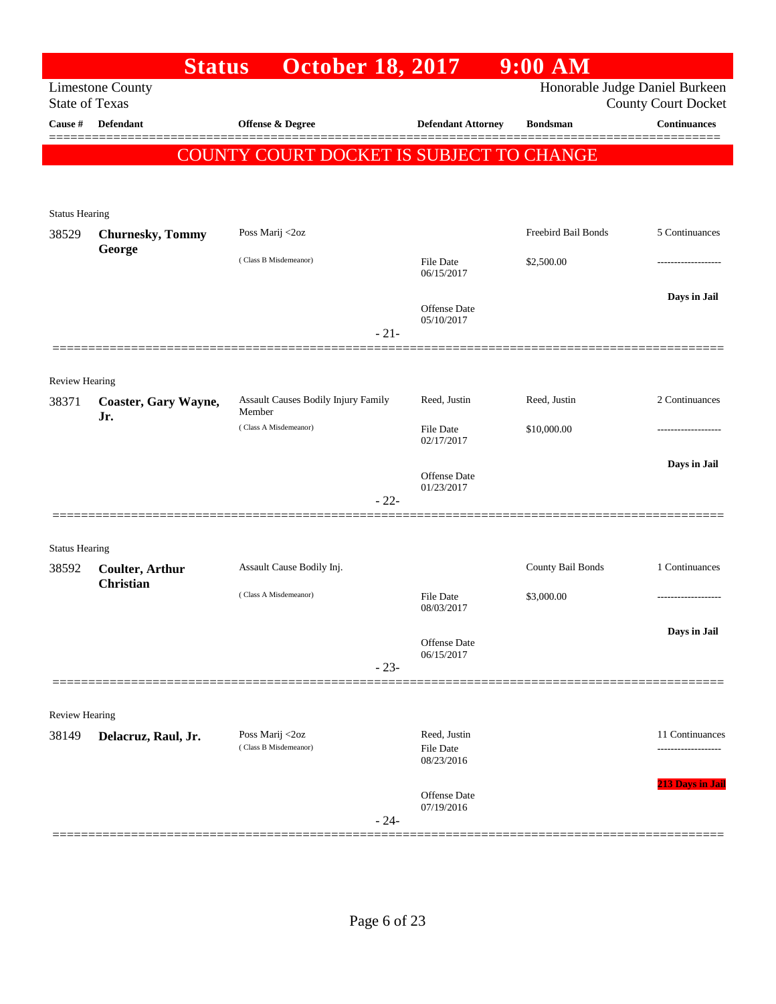|                       | <b>Status</b>                              | <b>October 18, 2017</b>                       |                                   | $9:00$ AM           |                                                   |
|-----------------------|--------------------------------------------|-----------------------------------------------|-----------------------------------|---------------------|---------------------------------------------------|
| <b>State of Texas</b> | <b>Limestone County</b>                    |                                               |                                   |                     | Honorable Judge Daniel Burkeen                    |
| Cause #               | Defendant                                  | Offense & Degree                              | <b>Defendant Attorney</b>         | <b>Bondsman</b>     | <b>County Court Docket</b><br><b>Continuances</b> |
|                       |                                            |                                               |                                   |                     |                                                   |
|                       |                                            | COUNTY COURT DOCKET IS SUBJECT TO CHANGE      |                                   |                     |                                                   |
|                       |                                            |                                               |                                   |                     |                                                   |
| <b>Status Hearing</b> |                                            |                                               |                                   |                     |                                                   |
| 38529                 | <b>Churnesky</b> , Tommy                   | Poss Marij <2oz                               |                                   | Freebird Bail Bonds | 5 Continuances                                    |
|                       | George                                     | (Class B Misdemeanor)                         | File Date                         | \$2,500.00          |                                                   |
|                       |                                            |                                               | 06/15/2017                        |                     |                                                   |
|                       |                                            |                                               | Offense Date<br>05/10/2017        |                     | Days in Jail                                      |
|                       |                                            | $-21-$                                        |                                   |                     |                                                   |
|                       |                                            |                                               |                                   |                     |                                                   |
| <b>Review Hearing</b> |                                            |                                               |                                   |                     |                                                   |
| 38371                 | Coaster, Gary Wayne,<br>Jr.                | Assault Causes Bodily Injury Family<br>Member | Reed, Justin                      | Reed, Justin        | 2 Continuances                                    |
|                       |                                            | (Class A Misdemeanor)                         | <b>File Date</b><br>02/17/2017    | \$10,000.00         |                                                   |
|                       |                                            |                                               |                                   |                     | Days in Jail                                      |
|                       |                                            |                                               | Offense Date<br>01/23/2017        |                     |                                                   |
|                       |                                            | $-22-$                                        |                                   |                     |                                                   |
|                       |                                            |                                               |                                   |                     |                                                   |
| <b>Status Hearing</b> |                                            |                                               |                                   |                     |                                                   |
| 38592                 | <b>Coulter, Arthur</b><br><b>Christian</b> | Assault Cause Bodily Inj.                     |                                   | County Bail Bonds   | 1 Continuances                                    |
|                       |                                            | (Class A Misdemeanor)                         | File Date<br>08/03/2017           | \$3,000.00          |                                                   |
|                       |                                            |                                               |                                   |                     | Days in Jail                                      |
|                       |                                            |                                               | Offense Date<br>06/15/2017        |                     |                                                   |
|                       |                                            | $-23-$                                        |                                   |                     |                                                   |
|                       |                                            |                                               |                                   |                     |                                                   |
| <b>Review Hearing</b> |                                            |                                               | Reed, Justin                      |                     | 11 Continuances                                   |
| 38149                 | Delacruz, Raul, Jr.                        | Poss Marij <2oz<br>(Class B Misdemeanor)      | <b>File Date</b>                  |                     |                                                   |
|                       |                                            |                                               | 08/23/2016                        |                     |                                                   |
|                       |                                            |                                               | <b>Offense</b> Date<br>07/19/2016 |                     | 213 Days in Jail                                  |
|                       |                                            | $-24-$                                        |                                   |                     |                                                   |
|                       |                                            |                                               |                                   |                     |                                                   |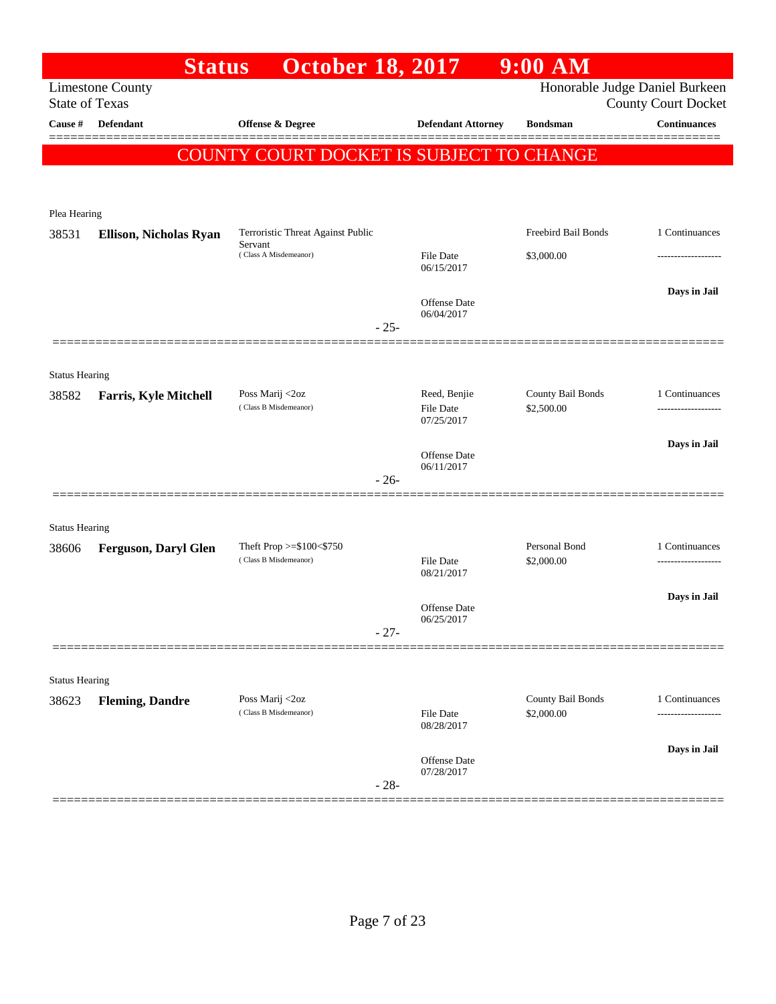|                                | <b>Status</b>                | <b>October 18, 2017</b>                              |        |                                | $9:00$ AM                       |                                       |
|--------------------------------|------------------------------|------------------------------------------------------|--------|--------------------------------|---------------------------------|---------------------------------------|
| <b>State of Texas</b>          | <b>Limestone County</b>      |                                                      |        |                                | Honorable Judge Daniel Burkeen  | <b>County Court Docket</b>            |
| Cause $\#$                     | <b>Defendant</b>             | <b>Offense &amp; Degree</b>                          |        | <b>Defendant Attorney</b>      | <b>Bondsman</b>                 | <b>Continuances</b>                   |
|                                |                              | COUNTY COURT DOCKET IS SUBJECT TO CHANGE             |        |                                |                                 |                                       |
|                                |                              |                                                      |        |                                |                                 |                                       |
| Plea Hearing                   |                              |                                                      |        |                                |                                 |                                       |
| 38531                          | Ellison, Nicholas Ryan       | Terroristic Threat Against Public                    |        |                                | Freebird Bail Bonds             | 1 Continuances                        |
|                                |                              | Servant<br>(Class A Misdemeanor)                     |        | <b>File Date</b><br>06/15/2017 | \$3,000.00                      |                                       |
|                                |                              |                                                      |        | Offense Date                   |                                 | Days in Jail                          |
|                                |                              |                                                      | $-25-$ | 06/04/2017                     |                                 |                                       |
|                                |                              |                                                      |        |                                |                                 |                                       |
| <b>Status Hearing</b><br>38582 | <b>Farris, Kyle Mitchell</b> | Poss Marij <2oz                                      |        | Reed, Benjie                   | County Bail Bonds               | 1 Continuances                        |
|                                |                              | (Class B Misdemeanor)                                |        | File Date<br>07/25/2017        | \$2,500.00                      |                                       |
|                                |                              |                                                      |        | Offense Date                   |                                 | Days in Jail                          |
|                                |                              |                                                      | $-26-$ | 06/11/2017                     |                                 |                                       |
|                                |                              |                                                      |        |                                |                                 |                                       |
| <b>Status Hearing</b>          |                              |                                                      |        |                                |                                 |                                       |
| 38606                          | <b>Ferguson, Daryl Glen</b>  | Theft Prop $>= $100 < $750$<br>(Class B Misdemeanor) |        | <b>File Date</b>               | Personal Bond<br>\$2,000.00     | 1 Continuances<br>------------------- |
|                                |                              |                                                      |        | 08/21/2017                     |                                 |                                       |
|                                |                              |                                                      |        | Offense Date<br>06/25/2017     |                                 | Days in Jail                          |
|                                |                              |                                                      | $-27-$ |                                |                                 |                                       |
| <b>Status Hearing</b>          |                              |                                                      |        |                                |                                 |                                       |
| 38623                          | <b>Fleming, Dandre</b>       | Poss Marij <2oz<br>(Class B Misdemeanor)             |        | File Date                      | County Bail Bonds<br>\$2,000.00 | 1 Continuances                        |
|                                |                              |                                                      |        | 08/28/2017                     |                                 | Days in Jail                          |
|                                |                              |                                                      | $-28-$ | Offense Date<br>07/28/2017     |                                 |                                       |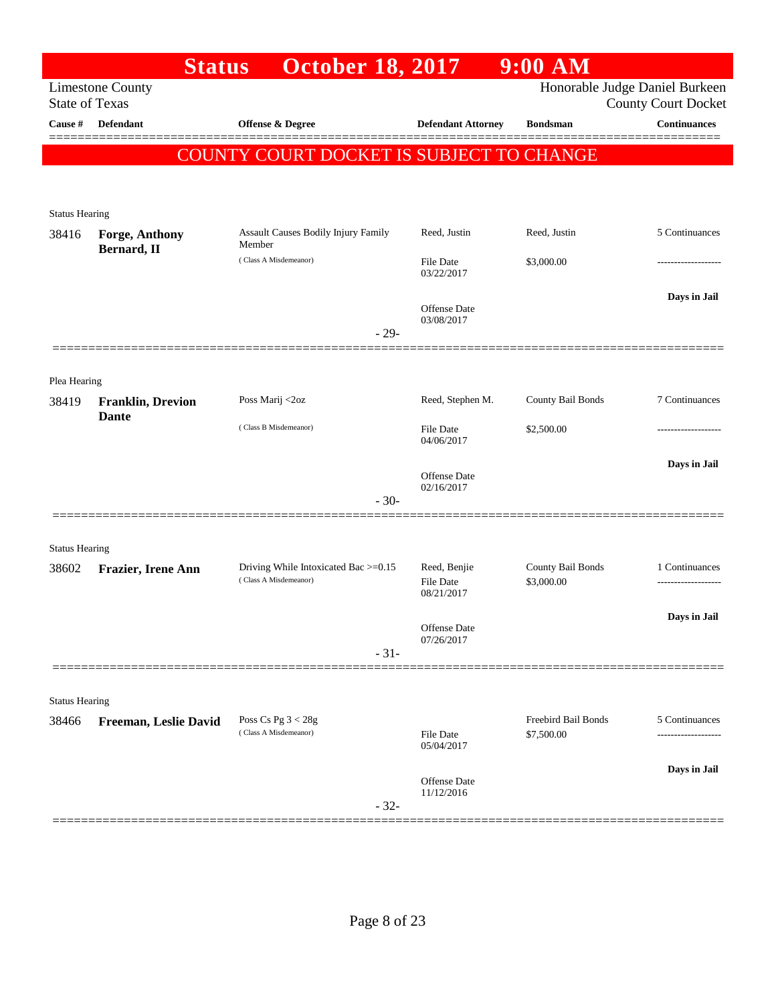| Honorable Judge Daniel Burkeen<br><b>Limestone County</b><br><b>State of Texas</b><br><b>County Court Docket</b><br><b>Defendant</b><br><b>Offense &amp; Degree</b><br>Cause #<br><b>Defendant Attorney</b><br><b>Bondsman</b><br>COUNTY COURT DOCKET IS SUBJECT TO CHANGE<br><b>Status Hearing</b><br><b>Assault Causes Bodily Injury Family</b><br>Reed, Justin<br>Reed, Justin<br>38416<br><b>Forge, Anthony</b><br>Member<br>Bernard, II<br>(Class A Misdemeanor)<br>\$3,000.00<br><b>File Date</b><br>03/22/2017<br><b>Offense Date</b><br>03/08/2017<br>$-29-$<br>Plea Hearing<br>County Bail Bonds<br>Poss Marij <2oz<br>Reed, Stephen M.<br>38419<br><b>Franklin, Drevion</b><br>Dante<br>(Class B Misdemeanor)<br>\$2,500.00<br><b>File Date</b><br>04/06/2017<br><b>Offense Date</b><br>02/16/2017<br>$-30-$<br><b>Status Hearing</b><br>County Bail Bonds<br>Driving While Intoxicated Bac >=0.15<br>Reed, Benjie<br>38602<br>Frazier, Irene Ann<br>(Class A Misdemeanor)<br><b>File Date</b><br>\$3,000.00<br>08/21/2017<br>Days in Jail<br>Offense Date<br>07/26/2017<br>$-31-$<br><b>Status Hearing</b><br>Freebird Bail Bonds<br>Poss Cs Pg $3 < 28g$<br>38466<br>Freeman, Leslie David<br>(Class A Misdemeanor)<br><b>File Date</b><br>\$7,500.00<br>05/04/2017<br>Offense Date<br>11/12/2016<br>$-32-$ | <b>Status</b> | <b>October 18, 2017</b> | $9:00$ AM |                     |
|-------------------------------------------------------------------------------------------------------------------------------------------------------------------------------------------------------------------------------------------------------------------------------------------------------------------------------------------------------------------------------------------------------------------------------------------------------------------------------------------------------------------------------------------------------------------------------------------------------------------------------------------------------------------------------------------------------------------------------------------------------------------------------------------------------------------------------------------------------------------------------------------------------------------------------------------------------------------------------------------------------------------------------------------------------------------------------------------------------------------------------------------------------------------------------------------------------------------------------------------------------------------------------------------------------------------------|---------------|-------------------------|-----------|---------------------|
|                                                                                                                                                                                                                                                                                                                                                                                                                                                                                                                                                                                                                                                                                                                                                                                                                                                                                                                                                                                                                                                                                                                                                                                                                                                                                                                         |               |                         |           |                     |
|                                                                                                                                                                                                                                                                                                                                                                                                                                                                                                                                                                                                                                                                                                                                                                                                                                                                                                                                                                                                                                                                                                                                                                                                                                                                                                                         |               |                         |           | <b>Continuances</b> |
|                                                                                                                                                                                                                                                                                                                                                                                                                                                                                                                                                                                                                                                                                                                                                                                                                                                                                                                                                                                                                                                                                                                                                                                                                                                                                                                         |               |                         |           |                     |
|                                                                                                                                                                                                                                                                                                                                                                                                                                                                                                                                                                                                                                                                                                                                                                                                                                                                                                                                                                                                                                                                                                                                                                                                                                                                                                                         |               |                         |           |                     |
|                                                                                                                                                                                                                                                                                                                                                                                                                                                                                                                                                                                                                                                                                                                                                                                                                                                                                                                                                                                                                                                                                                                                                                                                                                                                                                                         |               |                         |           | 5 Continuances      |
|                                                                                                                                                                                                                                                                                                                                                                                                                                                                                                                                                                                                                                                                                                                                                                                                                                                                                                                                                                                                                                                                                                                                                                                                                                                                                                                         |               |                         |           | -----------------   |
|                                                                                                                                                                                                                                                                                                                                                                                                                                                                                                                                                                                                                                                                                                                                                                                                                                                                                                                                                                                                                                                                                                                                                                                                                                                                                                                         |               |                         |           | Days in Jail        |
|                                                                                                                                                                                                                                                                                                                                                                                                                                                                                                                                                                                                                                                                                                                                                                                                                                                                                                                                                                                                                                                                                                                                                                                                                                                                                                                         |               |                         |           |                     |
|                                                                                                                                                                                                                                                                                                                                                                                                                                                                                                                                                                                                                                                                                                                                                                                                                                                                                                                                                                                                                                                                                                                                                                                                                                                                                                                         |               |                         |           |                     |
|                                                                                                                                                                                                                                                                                                                                                                                                                                                                                                                                                                                                                                                                                                                                                                                                                                                                                                                                                                                                                                                                                                                                                                                                                                                                                                                         |               |                         |           | 7 Continuances      |
|                                                                                                                                                                                                                                                                                                                                                                                                                                                                                                                                                                                                                                                                                                                                                                                                                                                                                                                                                                                                                                                                                                                                                                                                                                                                                                                         |               |                         |           | .                   |
|                                                                                                                                                                                                                                                                                                                                                                                                                                                                                                                                                                                                                                                                                                                                                                                                                                                                                                                                                                                                                                                                                                                                                                                                                                                                                                                         |               |                         |           | Days in Jail        |
|                                                                                                                                                                                                                                                                                                                                                                                                                                                                                                                                                                                                                                                                                                                                                                                                                                                                                                                                                                                                                                                                                                                                                                                                                                                                                                                         |               |                         |           |                     |
|                                                                                                                                                                                                                                                                                                                                                                                                                                                                                                                                                                                                                                                                                                                                                                                                                                                                                                                                                                                                                                                                                                                                                                                                                                                                                                                         |               |                         |           |                     |
|                                                                                                                                                                                                                                                                                                                                                                                                                                                                                                                                                                                                                                                                                                                                                                                                                                                                                                                                                                                                                                                                                                                                                                                                                                                                                                                         |               |                         |           | 1 Continuances      |
|                                                                                                                                                                                                                                                                                                                                                                                                                                                                                                                                                                                                                                                                                                                                                                                                                                                                                                                                                                                                                                                                                                                                                                                                                                                                                                                         |               |                         |           |                     |
|                                                                                                                                                                                                                                                                                                                                                                                                                                                                                                                                                                                                                                                                                                                                                                                                                                                                                                                                                                                                                                                                                                                                                                                                                                                                                                                         |               |                         |           |                     |
|                                                                                                                                                                                                                                                                                                                                                                                                                                                                                                                                                                                                                                                                                                                                                                                                                                                                                                                                                                                                                                                                                                                                                                                                                                                                                                                         |               |                         |           |                     |
|                                                                                                                                                                                                                                                                                                                                                                                                                                                                                                                                                                                                                                                                                                                                                                                                                                                                                                                                                                                                                                                                                                                                                                                                                                                                                                                         |               |                         |           |                     |
|                                                                                                                                                                                                                                                                                                                                                                                                                                                                                                                                                                                                                                                                                                                                                                                                                                                                                                                                                                                                                                                                                                                                                                                                                                                                                                                         |               |                         |           | 5 Continuances      |
|                                                                                                                                                                                                                                                                                                                                                                                                                                                                                                                                                                                                                                                                                                                                                                                                                                                                                                                                                                                                                                                                                                                                                                                                                                                                                                                         |               |                         |           | Days in Jail        |
|                                                                                                                                                                                                                                                                                                                                                                                                                                                                                                                                                                                                                                                                                                                                                                                                                                                                                                                                                                                                                                                                                                                                                                                                                                                                                                                         |               |                         |           |                     |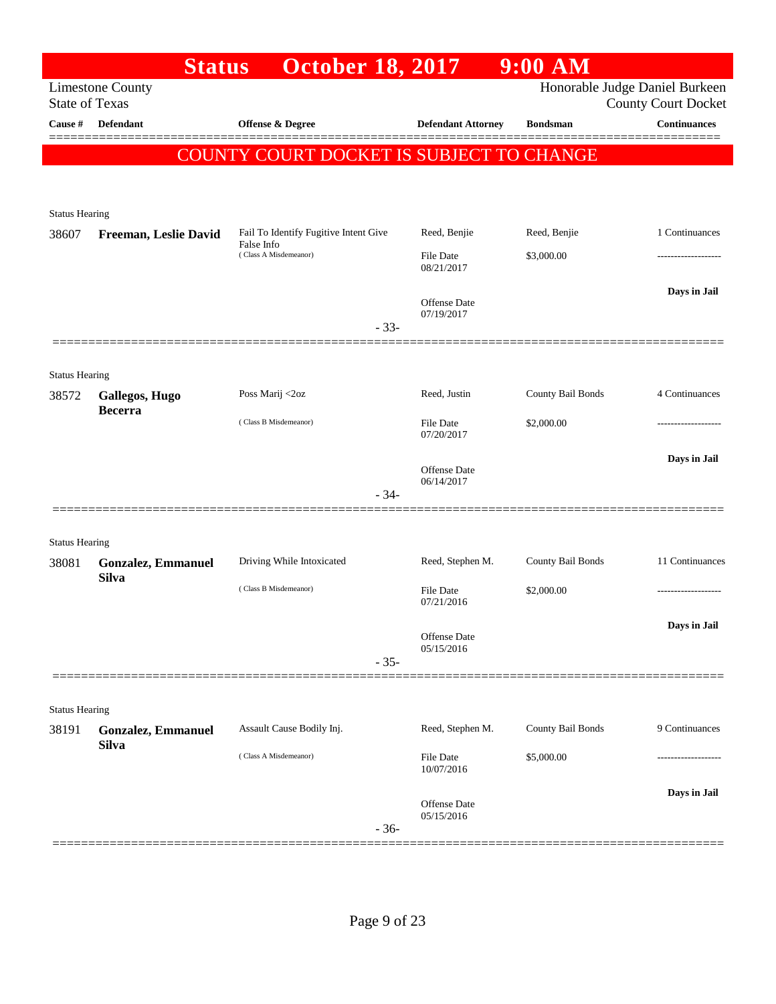|                       | <b>Status</b>                    | <b>October 18, 2017</b>                                                      |                                   | $9:00$ AM         |                                |
|-----------------------|----------------------------------|------------------------------------------------------------------------------|-----------------------------------|-------------------|--------------------------------|
|                       | <b>Limestone County</b>          |                                                                              |                                   |                   | Honorable Judge Daniel Burkeen |
| <b>State of Texas</b> |                                  |                                                                              |                                   |                   | <b>County Court Docket</b>     |
| Cause #               | <b>Defendant</b>                 | Offense & Degree                                                             | <b>Defendant Attorney</b>         | <b>Bondsman</b>   | <b>Continuances</b>            |
|                       |                                  | <b>COUNTY COURT DOCKET IS SUBJECT TO CHANGE</b>                              |                                   |                   |                                |
|                       |                                  |                                                                              |                                   |                   |                                |
|                       |                                  |                                                                              |                                   |                   |                                |
| <b>Status Hearing</b> |                                  |                                                                              |                                   |                   | 1 Continuances                 |
| 38607                 | Freeman, Leslie David            | Fail To Identify Fugitive Intent Give<br>False Info<br>(Class A Misdemeanor) | Reed, Benjie                      | Reed, Benjie      |                                |
|                       |                                  |                                                                              | <b>File Date</b><br>08/21/2017    | \$3,000.00        |                                |
|                       |                                  |                                                                              |                                   |                   | Days in Jail                   |
|                       |                                  |                                                                              | <b>Offense Date</b><br>07/19/2017 |                   |                                |
|                       |                                  | $-33-$                                                                       |                                   |                   |                                |
|                       |                                  |                                                                              |                                   |                   |                                |
| <b>Status Hearing</b> |                                  |                                                                              |                                   |                   |                                |
| 38572                 | Gallegos, Hugo<br><b>Becerra</b> | Poss Marij <2oz                                                              | Reed, Justin                      | County Bail Bonds | 4 Continuances                 |
|                       |                                  | (Class B Misdemeanor)                                                        | <b>File Date</b>                  | \$2,000.00        |                                |
|                       |                                  |                                                                              | 07/20/2017                        |                   |                                |
|                       |                                  |                                                                              | Offense Date                      |                   | Days in Jail                   |
|                       |                                  | $-34-$                                                                       | 06/14/2017                        |                   |                                |
|                       |                                  |                                                                              |                                   |                   |                                |
| <b>Status Hearing</b> |                                  |                                                                              |                                   |                   |                                |
| 38081                 | <b>Gonzalez, Emmanuel</b>        | Driving While Intoxicated                                                    | Reed, Stephen M.                  | County Bail Bonds | 11 Continuances                |
|                       | <b>Silva</b>                     |                                                                              |                                   |                   |                                |
|                       |                                  | (Class B Misdemeanor)                                                        | <b>File Date</b><br>07/21/2016    | \$2,000.00        | -----------------              |
|                       |                                  |                                                                              |                                   |                   | Days in Jail                   |
|                       |                                  |                                                                              | Offense Date<br>05/15/2016        |                   |                                |
|                       |                                  | $-35-$                                                                       |                                   |                   |                                |
|                       |                                  |                                                                              |                                   |                   |                                |
| <b>Status Hearing</b> |                                  |                                                                              |                                   |                   |                                |
| 38191                 | <b>Gonzalez, Emmanuel</b>        | Assault Cause Bodily Inj.                                                    | Reed, Stephen M.                  | County Bail Bonds | 9 Continuances                 |
|                       | <b>Silva</b>                     | (Class A Misdemeanor)                                                        | File Date                         | \$5,000.00        |                                |
|                       |                                  |                                                                              | 10/07/2016                        |                   |                                |
|                       |                                  |                                                                              | Offense Date                      |                   | Days in Jail                   |
|                       |                                  | $-36-$                                                                       | 05/15/2016                        |                   |                                |
|                       |                                  |                                                                              |                                   |                   |                                |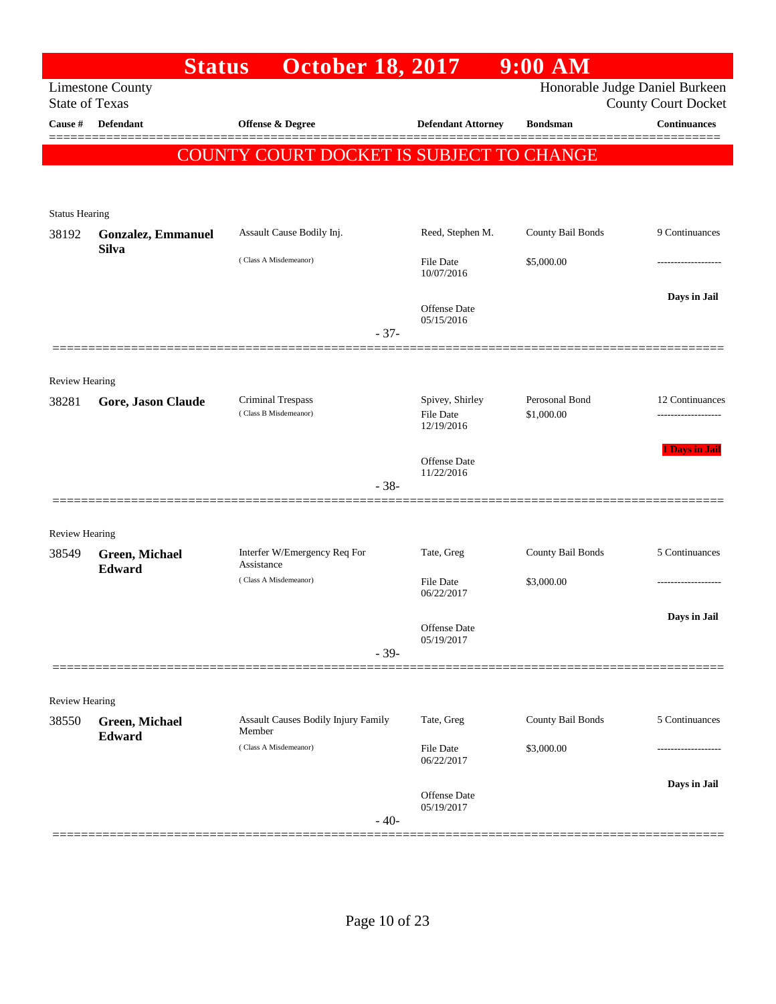|                       | <b>Status</b>             | <b>October 18, 2017</b>                  |                            | $9:00$ AM         |                                                   |
|-----------------------|---------------------------|------------------------------------------|----------------------------|-------------------|---------------------------------------------------|
| <b>State of Texas</b> | <b>Limestone County</b>   |                                          |                            |                   | Honorable Judge Daniel Burkeen                    |
| <b>Cause</b> #        | Defendant                 | Offense & Degree                         | <b>Defendant Attorney</b>  | <b>Bondsman</b>   | <b>County Court Docket</b><br><b>Continuances</b> |
|                       |                           |                                          |                            |                   |                                                   |
|                       |                           | COUNTY COURT DOCKET IS SUBJECT TO CHANGE |                            |                   |                                                   |
|                       |                           |                                          |                            |                   |                                                   |
| <b>Status Hearing</b> |                           |                                          |                            |                   |                                                   |
| 38192                 | <b>Gonzalez, Emmanuel</b> | Assault Cause Bodily Inj.                | Reed, Stephen M.           | County Bail Bonds | 9 Continuances                                    |
|                       | <b>Silva</b>              | (Class A Misdemeanor)                    | <b>File Date</b>           | \$5,000.00        |                                                   |
|                       |                           |                                          | 10/07/2016                 |                   |                                                   |
|                       |                           |                                          | Offense Date               |                   | Days in Jail                                      |
|                       |                           |                                          | 05/15/2016                 |                   |                                                   |
|                       |                           | $-37-$                                   |                            |                   |                                                   |
|                       |                           |                                          |                            |                   |                                                   |
| <b>Review Hearing</b> | Gore, Jason Claude        | Criminal Trespass                        | Spivey, Shirley            | Perosonal Bond    | 12 Continuances                                   |
| 38281                 |                           | (Class B Misdemeanor)                    | <b>File Date</b>           | \$1,000.00        |                                                   |
|                       |                           |                                          | 12/19/2016                 |                   |                                                   |
|                       |                           |                                          | <b>Offense Date</b>        |                   | <b>1 Days in Jail</b>                             |
|                       |                           | $-38-$                                   | 11/22/2016                 |                   |                                                   |
|                       |                           |                                          |                            |                   |                                                   |
| <b>Review Hearing</b> |                           |                                          |                            |                   |                                                   |
| 38549                 | Green, Michael            | Interfer W/Emergency Req For             | Tate, Greg                 | County Bail Bonds | 5 Continuances                                    |
|                       | Edward                    | Assistance<br>(Class A Misdemeanor)      | <b>File Date</b>           | \$3,000.00        |                                                   |
|                       |                           |                                          | 06/22/2017                 |                   |                                                   |
|                       |                           |                                          | Offense Date               |                   | Days in Jail                                      |
|                       |                           | $-39-$                                   | 05/19/2017                 |                   |                                                   |
|                       |                           |                                          |                            |                   |                                                   |
| <b>Review Hearing</b> |                           |                                          |                            |                   |                                                   |
| 38550                 | Green, Michael            | Assault Causes Bodily Injury Family      | Tate, Greg                 | County Bail Bonds | 5 Continuances                                    |
|                       | Edward                    | Member                                   |                            |                   |                                                   |
|                       |                           | (Class A Misdemeanor)                    | File Date<br>06/22/2017    | \$3,000.00        |                                                   |
|                       |                           |                                          |                            |                   | Days in Jail                                      |
|                       |                           |                                          | Offense Date<br>05/19/2017 |                   |                                                   |
|                       |                           | $-40-$                                   |                            |                   |                                                   |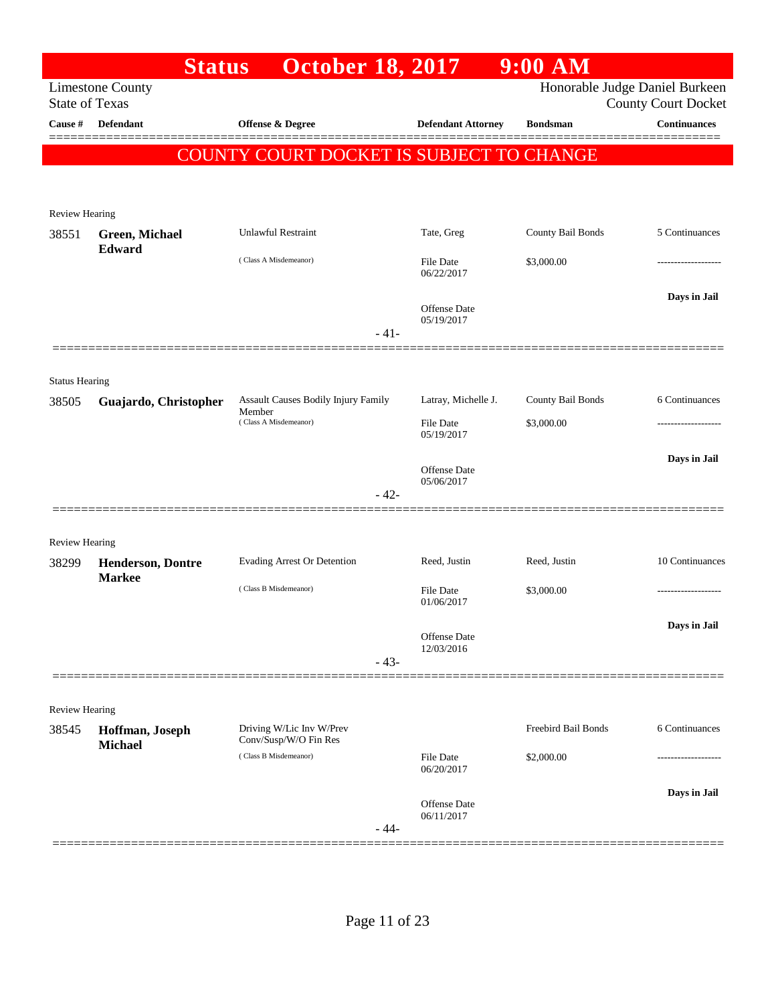|                                | <b>Status</b>                                    | <b>October 18, 2017</b>                           |                                   | $9:00$ AM           |                                                              |
|--------------------------------|--------------------------------------------------|---------------------------------------------------|-----------------------------------|---------------------|--------------------------------------------------------------|
|                                | <b>Limestone County</b><br><b>State of Texas</b> |                                                   |                                   |                     | Honorable Judge Daniel Burkeen<br><b>County Court Docket</b> |
| Cause #                        | <b>Defendant</b>                                 | <b>Offense &amp; Degree</b>                       | <b>Defendant Attorney</b>         | <b>Bondsman</b>     | <b>Continuances</b>                                          |
|                                |                                                  | COUNTY COURT DOCKET IS SUBJECT TO CHANGE          |                                   |                     |                                                              |
|                                |                                                  |                                                   |                                   |                     |                                                              |
|                                |                                                  |                                                   |                                   |                     |                                                              |
| Review Hearing                 |                                                  |                                                   |                                   |                     |                                                              |
| 38551                          | <b>Green, Michael</b><br>Edward                  | <b>Unlawful Restraint</b>                         | Tate, Greg                        | County Bail Bonds   | 5 Continuances                                               |
|                                |                                                  | (Class A Misdemeanor)                             | File Date<br>06/22/2017           | \$3,000.00          |                                                              |
|                                |                                                  |                                                   |                                   |                     | Days in Jail                                                 |
|                                |                                                  |                                                   | <b>Offense Date</b><br>05/19/2017 |                     |                                                              |
|                                |                                                  | $-41-$                                            |                                   |                     |                                                              |
|                                |                                                  |                                                   |                                   |                     |                                                              |
| <b>Status Hearing</b><br>38505 | Guajardo, Christopher                            | Assault Causes Bodily Injury Family               | Latray, Michelle J.               | County Bail Bonds   | 6 Continuances                                               |
|                                |                                                  | Member<br>(Class A Misdemeanor)                   | <b>File Date</b><br>05/19/2017    | \$3,000.00          |                                                              |
|                                |                                                  |                                                   |                                   |                     |                                                              |
|                                |                                                  |                                                   | <b>Offense Date</b><br>05/06/2017 |                     | Days in Jail                                                 |
|                                |                                                  | $-42-$                                            |                                   |                     |                                                              |
|                                |                                                  |                                                   |                                   |                     |                                                              |
| <b>Review Hearing</b>          |                                                  |                                                   |                                   |                     |                                                              |
| 38299                          | <b>Henderson, Dontre</b><br><b>Markee</b>        | Evading Arrest Or Detention                       | Reed, Justin                      | Reed, Justin        | 10 Continuances                                              |
|                                |                                                  | (Class B Misdemeanor)                             | <b>File Date</b><br>01/06/2017    | \$3,000.00          |                                                              |
|                                |                                                  |                                                   |                                   |                     | Days in Jail                                                 |
|                                |                                                  |                                                   | Offense Date<br>12/03/2016        |                     |                                                              |
|                                |                                                  | $-43-$                                            |                                   |                     |                                                              |
|                                |                                                  |                                                   |                                   |                     |                                                              |
| Review Hearing                 |                                                  |                                                   |                                   |                     |                                                              |
| 38545                          | Hoffman, Joseph<br><b>Michael</b>                | Driving W/Lic Inv W/Prev<br>Conv/Susp/W/O Fin Res |                                   | Freebird Bail Bonds | 6 Continuances                                               |
|                                |                                                  | (Class B Misdemeanor)                             | <b>File Date</b><br>06/20/2017    | \$2,000.00          |                                                              |
|                                |                                                  |                                                   |                                   |                     |                                                              |
|                                |                                                  |                                                   | Offense Date<br>06/11/2017        |                     | Days in Jail                                                 |
|                                |                                                  | $-44-$                                            |                                   |                     |                                                              |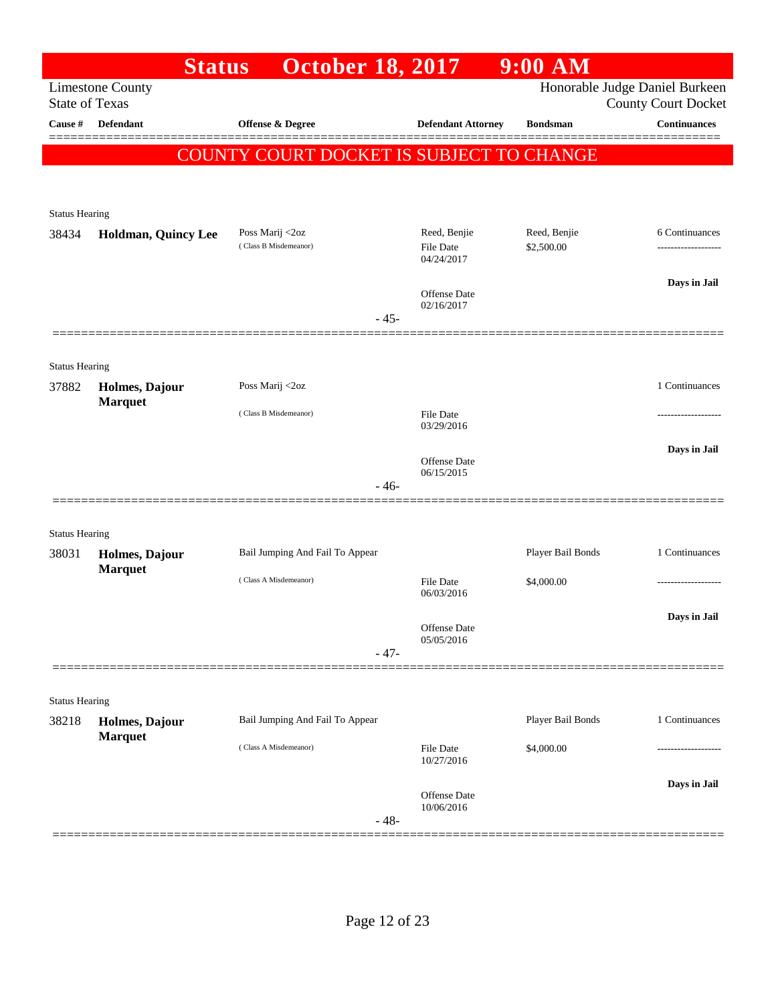|                                  | <b>Status</b>                    | <b>October 18, 2017</b>                         |                                | $9:00$ AM         |                                                   |
|----------------------------------|----------------------------------|-------------------------------------------------|--------------------------------|-------------------|---------------------------------------------------|
|                                  | <b>Limestone County</b>          |                                                 |                                |                   | Honorable Judge Daniel Burkeen                    |
| <b>State of Texas</b><br>Cause # | <b>Defendant</b>                 | Offense & Degree                                | <b>Defendant Attorney</b>      | <b>Bondsman</b>   | <b>County Court Docket</b><br><b>Continuances</b> |
|                                  |                                  |                                                 |                                |                   |                                                   |
|                                  |                                  | <b>COUNTY COURT DOCKET IS SUBJECT TO CHANGE</b> |                                |                   |                                                   |
|                                  |                                  |                                                 |                                |                   |                                                   |
| <b>Status Hearing</b>            |                                  |                                                 |                                |                   |                                                   |
| 38434                            | Holdman, Quincy Lee              | Poss Marij <2oz                                 | Reed, Benjie                   | Reed, Benjie      | 6 Continuances                                    |
|                                  |                                  | (Class B Misdemeanor)                           | <b>File Date</b><br>04/24/2017 | \$2,500.00        |                                                   |
|                                  |                                  |                                                 |                                |                   |                                                   |
|                                  |                                  |                                                 | Offense Date<br>02/16/2017     |                   | Days in Jail                                      |
|                                  |                                  | $-45-$                                          |                                |                   |                                                   |
|                                  |                                  |                                                 |                                |                   |                                                   |
| <b>Status Hearing</b>            |                                  |                                                 |                                |                   |                                                   |
| 37882                            | Holmes, Dajour                   | Poss Marij <2oz                                 |                                |                   | 1 Continuances                                    |
|                                  | <b>Marquet</b>                   | (Class B Misdemeanor)                           | <b>File Date</b>               |                   |                                                   |
|                                  |                                  |                                                 | 03/29/2016                     |                   |                                                   |
|                                  |                                  |                                                 | Offense Date                   |                   | Days in Jail                                      |
|                                  |                                  | $-46-$                                          | 06/15/2015                     |                   |                                                   |
|                                  |                                  |                                                 |                                |                   |                                                   |
| <b>Status Hearing</b>            |                                  |                                                 |                                |                   |                                                   |
| 38031                            | Holmes, Dajour                   | Bail Jumping And Fail To Appear                 |                                | Player Bail Bonds | 1 Continuances                                    |
|                                  | <b>Marquet</b>                   | (Class A Misdemeanor)                           | File Date                      | \$4,000.00        | ----------------                                  |
|                                  |                                  |                                                 | 06/03/2016                     |                   |                                                   |
|                                  |                                  |                                                 | Offense Date                   |                   | Days in Jail                                      |
|                                  |                                  |                                                 | 05/05/2016                     |                   |                                                   |
|                                  |                                  | $-47-$                                          |                                |                   |                                                   |
|                                  |                                  |                                                 |                                |                   |                                                   |
| <b>Status Hearing</b><br>38218   |                                  | Bail Jumping And Fail To Appear                 |                                | Player Bail Bonds | 1 Continuances                                    |
|                                  | Holmes, Dajour<br><b>Marquet</b> |                                                 |                                |                   |                                                   |
|                                  |                                  | (Class A Misdemeanor)                           | <b>File Date</b><br>10/27/2016 | \$4,000.00        |                                                   |
|                                  |                                  |                                                 |                                |                   | Days in Jail                                      |
|                                  |                                  |                                                 | Offense Date<br>10/06/2016     |                   |                                                   |
|                                  |                                  | $-48-$                                          |                                |                   |                                                   |
|                                  |                                  |                                                 |                                |                   |                                                   |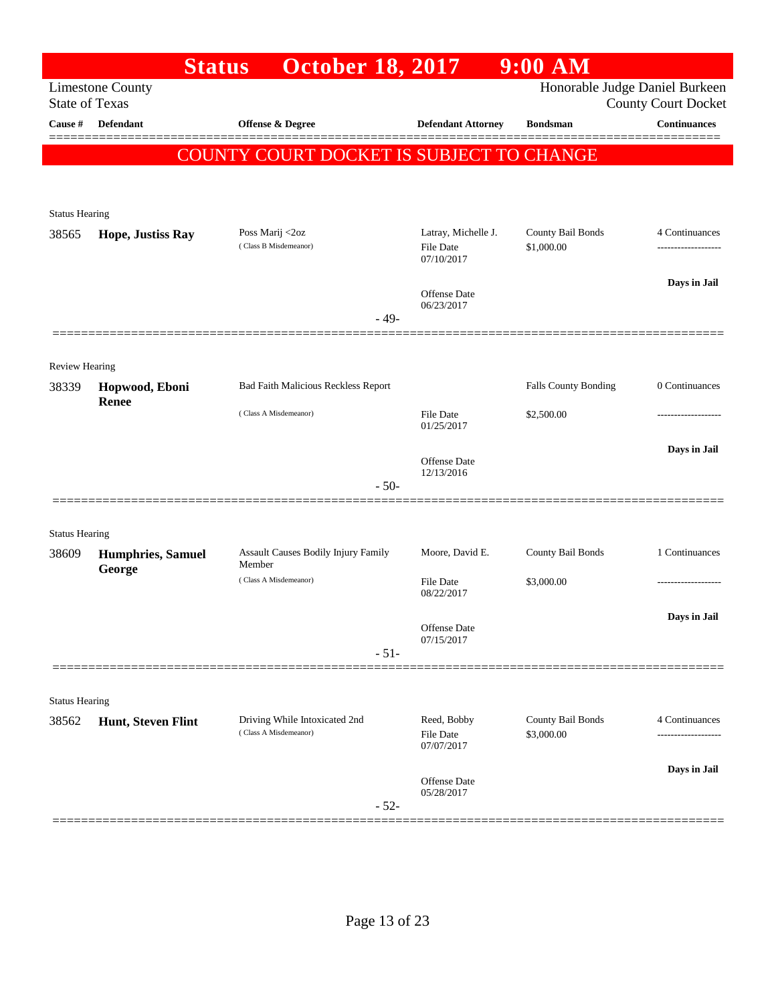|                       | <b>Status</b>                      | <b>October 18, 2017</b>                                |                                                | $9:00$ AM                       |                            |
|-----------------------|------------------------------------|--------------------------------------------------------|------------------------------------------------|---------------------------------|----------------------------|
| <b>State of Texas</b> | <b>Limestone County</b>            |                                                        |                                                | Honorable Judge Daniel Burkeen  | <b>County Court Docket</b> |
| Cause #               | Defendant                          | Offense & Degree                                       | <b>Defendant Attorney</b>                      | <b>Bondsman</b>                 | <b>Continuances</b>        |
|                       |                                    | COUNTY COURT DOCKET IS SUBJECT TO CHANGE               |                                                |                                 |                            |
|                       |                                    |                                                        |                                                |                                 |                            |
|                       |                                    |                                                        |                                                |                                 |                            |
| <b>Status Hearing</b> |                                    |                                                        |                                                |                                 |                            |
| 38565                 | Hope, Justiss Ray                  | Poss Marij <2oz<br>(Class B Misdemeanor)               | Latray, Michelle J.<br>File Date<br>07/10/2017 | County Bail Bonds<br>\$1,000.00 | 4 Continuances             |
|                       |                                    |                                                        | Offense Date<br>06/23/2017                     |                                 | Days in Jail               |
|                       |                                    | $-49-$                                                 |                                                |                                 |                            |
|                       |                                    |                                                        |                                                |                                 |                            |
| <b>Review Hearing</b> |                                    |                                                        |                                                |                                 |                            |
| 38339                 | Hopwood, Eboni                     | Bad Faith Malicious Reckless Report                    |                                                | Falls County Bonding            | 0 Continuances             |
|                       | Renee                              | (Class A Misdemeanor)                                  | <b>File Date</b><br>01/25/2017                 | \$2,500.00                      | .                          |
|                       |                                    |                                                        | Offense Date<br>12/13/2016                     |                                 | Days in Jail               |
|                       |                                    | $-50-$                                                 |                                                |                                 |                            |
|                       |                                    |                                                        |                                                |                                 |                            |
| <b>Status Hearing</b> |                                    |                                                        |                                                |                                 |                            |
| 38609                 | <b>Humphries, Samuel</b><br>George | Assault Causes Bodily Injury Family<br>Member          | Moore, David E.                                | County Bail Bonds               | 1 Continuances             |
|                       |                                    | (Class A Misdemeanor)                                  | File Date<br>08/22/2017                        | \$3,000.00                      |                            |
|                       |                                    |                                                        |                                                |                                 | Days in Jail               |
|                       |                                    |                                                        | Offense Date<br>07/15/2017                     |                                 |                            |
|                       |                                    | $-51-$                                                 |                                                |                                 |                            |
|                       |                                    |                                                        |                                                |                                 |                            |
| <b>Status Hearing</b> |                                    |                                                        |                                                |                                 |                            |
| 38562                 | Hunt, Steven Flint                 | Driving While Intoxicated 2nd<br>(Class A Misdemeanor) | Reed, Bobby<br><b>File Date</b><br>07/07/2017  | County Bail Bonds<br>\$3,000.00 | 4 Continuances             |
|                       |                                    |                                                        |                                                |                                 | Days in Jail               |
|                       |                                    | $-52-$                                                 | <b>Offense Date</b><br>05/28/2017              |                                 |                            |
|                       |                                    |                                                        |                                                |                                 |                            |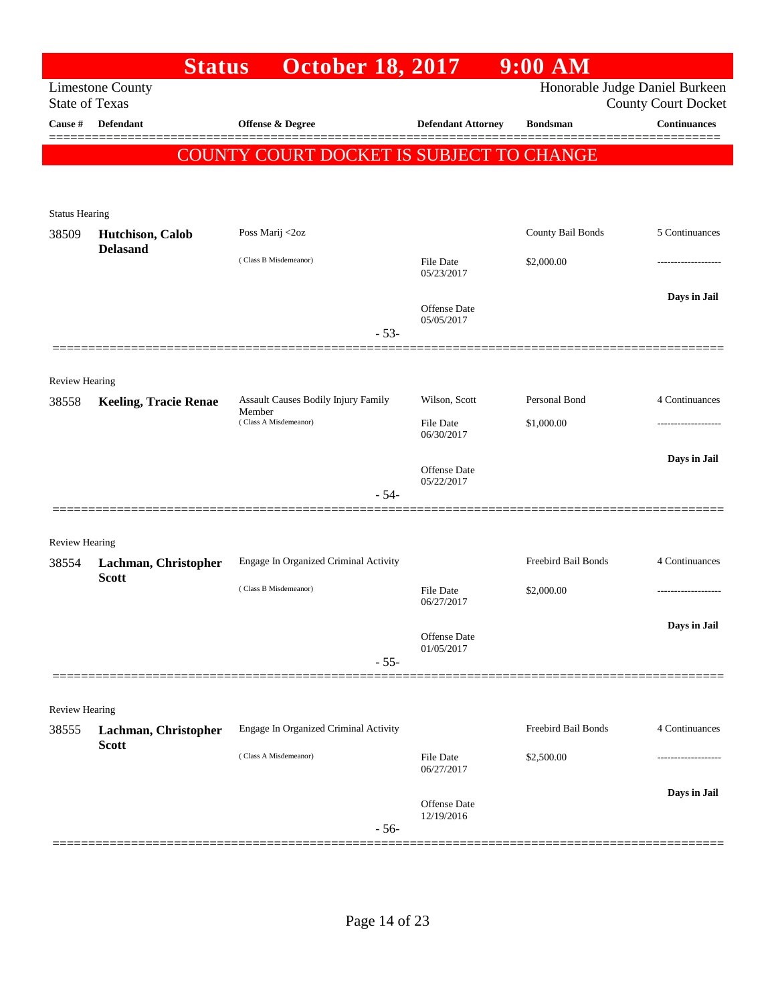|                                  | <b>Status</b>                | <b>October 18, 2017</b>                  |                           | $9:00$ AM           |                                                   |
|----------------------------------|------------------------------|------------------------------------------|---------------------------|---------------------|---------------------------------------------------|
|                                  | <b>Limestone County</b>      |                                          |                           |                     | Honorable Judge Daniel Burkeen                    |
| <b>State of Texas</b><br>Cause # | Defendant                    | Offense & Degree                         | <b>Defendant Attorney</b> | <b>Bondsman</b>     | <b>County Court Docket</b><br><b>Continuances</b> |
|                                  |                              |                                          |                           |                     |                                                   |
|                                  |                              | COUNTY COURT DOCKET IS SUBJECT TO CHANGE |                           |                     |                                                   |
|                                  |                              |                                          |                           |                     |                                                   |
| <b>Status Hearing</b>            |                              |                                          |                           |                     |                                                   |
| 38509                            | Hutchison, Calob             | Poss Marij <2oz                          |                           | County Bail Bonds   | 5 Continuances                                    |
|                                  | <b>Delasand</b>              | (Class B Misdemeanor)                    | File Date                 | \$2,000.00          |                                                   |
|                                  |                              |                                          | 05/23/2017                |                     |                                                   |
|                                  |                              |                                          | Offense Date              |                     | Days in Jail                                      |
|                                  |                              | $-53-$                                   | 05/05/2017                |                     |                                                   |
|                                  |                              |                                          |                           |                     |                                                   |
| <b>Review Hearing</b>            |                              |                                          |                           |                     |                                                   |
| 38558                            | <b>Keeling, Tracie Renae</b> | Assault Causes Bodily Injury Family      | Wilson, Scott             | Personal Bond       | 4 Continuances                                    |
|                                  |                              | Member<br>(Class A Misdemeanor)          | <b>File Date</b>          | \$1,000.00          |                                                   |
|                                  |                              |                                          | 06/30/2017                |                     |                                                   |
|                                  |                              |                                          | <b>Offense</b> Date       |                     | Days in Jail                                      |
|                                  |                              | $-54-$                                   | 05/22/2017                |                     |                                                   |
|                                  |                              |                                          |                           |                     |                                                   |
| Review Hearing                   |                              |                                          |                           |                     |                                                   |
| 38554                            | Lachman, Christopher         | Engage In Organized Criminal Activity    |                           | Freebird Bail Bonds | 4 Continuances                                    |
|                                  | <b>Scott</b>                 | (Class B Misdemeanor)                    | File Date                 | \$2,000.00          |                                                   |
|                                  |                              |                                          | 06/27/2017                |                     |                                                   |
|                                  |                              |                                          | Offense Date              |                     | Days in Jail                                      |
|                                  |                              | $-55-$                                   | 01/05/2017                |                     |                                                   |
|                                  |                              |                                          |                           |                     |                                                   |
| Review Hearing                   |                              |                                          |                           |                     |                                                   |
| 38555                            | Lachman, Christopher         | Engage In Organized Criminal Activity    |                           | Freebird Bail Bonds | 4 Continuances                                    |
|                                  | <b>Scott</b>                 | (Class A Misdemeanor)                    | File Date                 | \$2,500.00          |                                                   |
|                                  |                              |                                          | 06/27/2017                |                     |                                                   |
|                                  |                              |                                          | Offense Date              |                     | Days in Jail                                      |
|                                  |                              | $-56-$                                   | 12/19/2016                |                     |                                                   |
|                                  |                              |                                          |                           |                     |                                                   |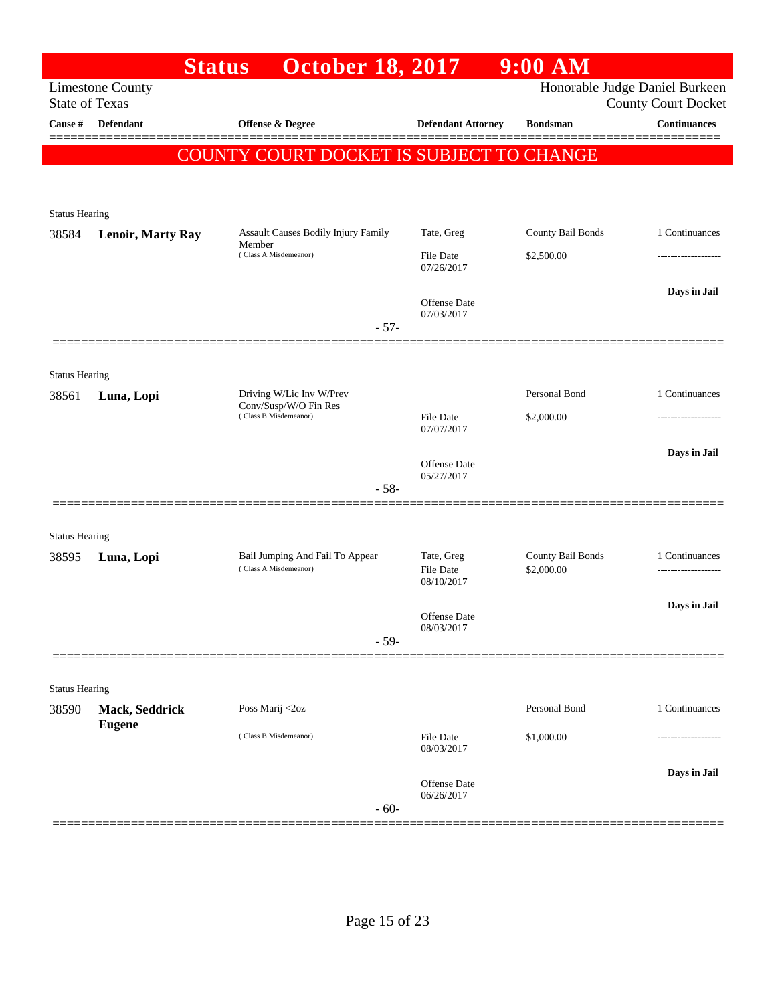|                       |                                 | <b>October 18, 2017</b><br><b>Status</b>                 |                                   | $9:00$ AM                       |                                                              |
|-----------------------|---------------------------------|----------------------------------------------------------|-----------------------------------|---------------------------------|--------------------------------------------------------------|
| <b>State of Texas</b> | <b>Limestone County</b>         |                                                          |                                   |                                 | Honorable Judge Daniel Burkeen<br><b>County Court Docket</b> |
| Cause #               | Defendant                       | Offense & Degree                                         | <b>Defendant Attorney</b>         | <b>Bondsman</b>                 | <b>Continuances</b>                                          |
|                       |                                 | COUNTY COURT DOCKET IS SUBJECT TO CHANGE                 |                                   |                                 |                                                              |
|                       |                                 |                                                          |                                   |                                 |                                                              |
| <b>Status Hearing</b> |                                 |                                                          |                                   |                                 |                                                              |
| 38584                 | <b>Lenoir, Marty Ray</b>        | <b>Assault Causes Bodily Injury Family</b>               | Tate, Greg                        | County Bail Bonds               | 1 Continuances                                               |
|                       |                                 | Member<br>(Class A Misdemeanor)                          | <b>File Date</b><br>07/26/2017    | \$2,500.00                      | -------------------                                          |
|                       |                                 |                                                          | <b>Offense Date</b><br>07/03/2017 |                                 | Days in Jail                                                 |
|                       |                                 | $-57-$                                                   |                                   |                                 |                                                              |
| <b>Status Hearing</b> |                                 |                                                          |                                   |                                 |                                                              |
| 38561                 | Luna, Lopi                      | Driving W/Lic Inv W/Prev<br>Conv/Susp/W/O Fin Res        |                                   | Personal Bond                   | 1 Continuances                                               |
|                       |                                 | (Class B Misdemeanor)                                    | <b>File Date</b><br>07/07/2017    | \$2,000.00                      | -------------------                                          |
|                       |                                 |                                                          | <b>Offense Date</b><br>05/27/2017 |                                 | Days in Jail                                                 |
|                       |                                 | $-58-$                                                   |                                   |                                 |                                                              |
| <b>Status Hearing</b> |                                 |                                                          |                                   |                                 |                                                              |
| 38595                 | Luna, Lopi                      | Bail Jumping And Fail To Appear<br>(Class A Misdemeanor) | Tate, Greg<br>File Date           | County Bail Bonds<br>\$2,000.00 | 1 Continuances<br>-------------------                        |
|                       |                                 |                                                          | 08/10/2017                        |                                 | Days in Jail                                                 |
|                       |                                 | $-59-$                                                   | Offense Date<br>08/03/2017        |                                 |                                                              |
|                       |                                 |                                                          |                                   |                                 |                                                              |
| <b>Status Hearing</b> |                                 |                                                          |                                   |                                 |                                                              |
| 38590                 | Mack, Seddrick<br><b>Eugene</b> | Poss Marij <2oz                                          |                                   | Personal Bond                   | 1 Continuances                                               |
|                       |                                 | (Class B Misdemeanor)                                    | <b>File Date</b><br>08/03/2017    | \$1,000.00                      |                                                              |
|                       |                                 | $-60-$                                                   | Offense Date<br>06/26/2017        |                                 | Days in Jail                                                 |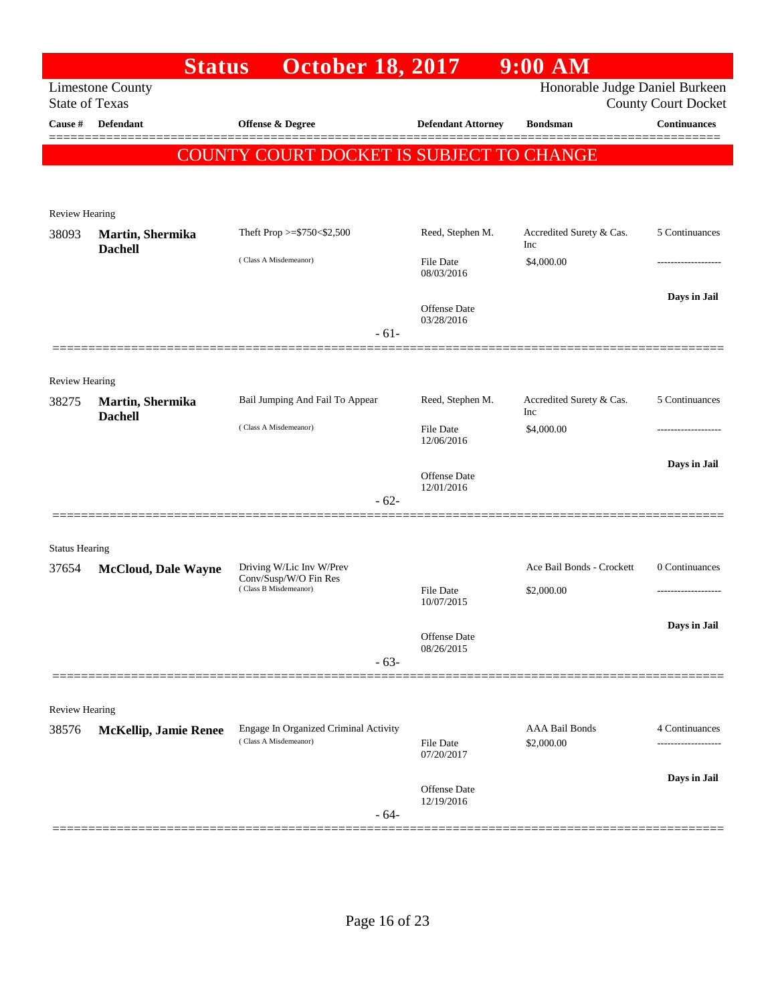|                                  | <b>Status</b>                      | <b>October 18, 2017</b>                                        |                                | 9:00 AM                             |                                                   |
|----------------------------------|------------------------------------|----------------------------------------------------------------|--------------------------------|-------------------------------------|---------------------------------------------------|
|                                  | <b>Limestone County</b>            |                                                                |                                | Honorable Judge Daniel Burkeen      |                                                   |
| <b>State of Texas</b><br>Cause # | Defendant                          | Offense & Degree                                               | <b>Defendant Attorney</b>      | <b>Bondsman</b>                     | <b>County Court Docket</b><br><b>Continuances</b> |
|                                  |                                    |                                                                |                                |                                     |                                                   |
|                                  |                                    | COUNTY COURT DOCKET IS SUBJECT TO CHANGE                       |                                |                                     |                                                   |
|                                  |                                    |                                                                |                                |                                     |                                                   |
| Review Hearing                   |                                    |                                                                |                                |                                     |                                                   |
| 38093                            | Martin, Shermika<br><b>Dachell</b> | Theft Prop $>=$ \$750 < \$2,500                                | Reed, Stephen M.               | Accredited Surety & Cas.<br>Inc     | 5 Continuances                                    |
|                                  |                                    | (Class A Misdemeanor)                                          | File Date<br>08/03/2016        | \$4,000.00                          |                                                   |
|                                  |                                    |                                                                | Offense Date                   |                                     | Days in Jail                                      |
|                                  |                                    |                                                                | 03/28/2016                     |                                     |                                                   |
|                                  |                                    | $-61-$                                                         |                                |                                     |                                                   |
|                                  |                                    |                                                                |                                |                                     |                                                   |
| Review Hearing<br>38275          | Martin, Shermika<br><b>Dachell</b> | Bail Jumping And Fail To Appear                                | Reed, Stephen M.               | Accredited Surety & Cas.<br>Inc     | 5 Continuances                                    |
|                                  |                                    | (Class A Misdemeanor)                                          | File Date<br>12/06/2016        | \$4,000.00                          |                                                   |
|                                  |                                    |                                                                | Offense Date                   |                                     | Days in Jail                                      |
|                                  |                                    | $-62-$                                                         | 12/01/2016                     |                                     |                                                   |
|                                  |                                    |                                                                |                                |                                     |                                                   |
| <b>Status Hearing</b>            |                                    |                                                                |                                |                                     |                                                   |
| 37654                            | <b>McCloud, Dale Wayne</b>         | Driving W/Lic Inv W/Prev                                       |                                | Ace Bail Bonds - Crockett           | 0 Continuances                                    |
|                                  |                                    | Conv/Susp/W/O Fin Res<br>(Class B Misdemeanor)                 | File Date                      | \$2,000.00                          |                                                   |
|                                  |                                    |                                                                | 10/07/2015                     |                                     |                                                   |
|                                  |                                    |                                                                | Offense Date                   |                                     | Days in Jail                                      |
|                                  |                                    | $-63-$                                                         | 08/26/2015                     |                                     |                                                   |
|                                  |                                    |                                                                |                                |                                     |                                                   |
| Review Hearing                   |                                    |                                                                |                                |                                     |                                                   |
| 38576                            | <b>McKellip, Jamie Renee</b>       | Engage In Organized Criminal Activity<br>(Class A Misdemeanor) | <b>File Date</b><br>07/20/2017 | <b>AAA Bail Bonds</b><br>\$2,000.00 | 4 Continuances                                    |
|                                  |                                    |                                                                |                                |                                     | Days in Jail                                      |
|                                  |                                    | $-64-$                                                         | Offense Date<br>12/19/2016     |                                     |                                                   |
|                                  |                                    |                                                                |                                |                                     |                                                   |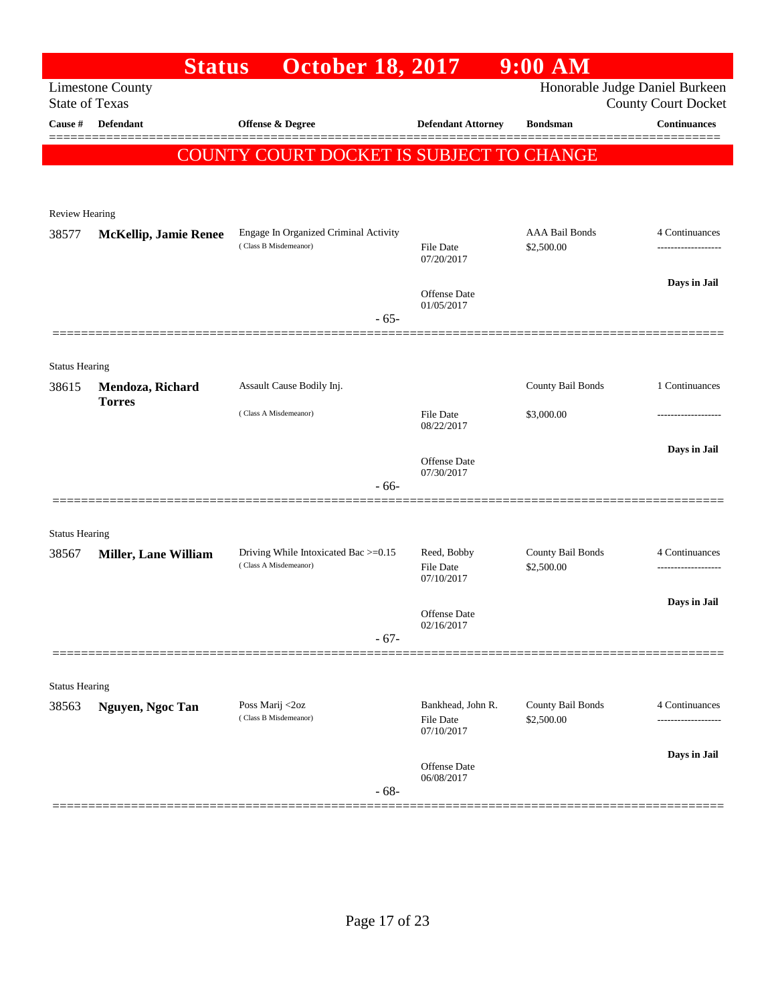| <b>State of Texas</b>          | <b>Limestone County</b>           |                                                                |                                   |                                     |                                                              |
|--------------------------------|-----------------------------------|----------------------------------------------------------------|-----------------------------------|-------------------------------------|--------------------------------------------------------------|
|                                |                                   |                                                                |                                   |                                     | Honorable Judge Daniel Burkeen<br><b>County Court Docket</b> |
| Cause #                        | <b>Defendant</b>                  | <b>Offense &amp; Degree</b>                                    | <b>Defendant Attorney</b>         | <b>Bondsman</b>                     | <b>Continuances</b>                                          |
|                                |                                   | COUNTY COURT DOCKET IS SUBJECT TO CHANGE                       |                                   |                                     |                                                              |
|                                |                                   |                                                                |                                   |                                     |                                                              |
| Review Hearing                 |                                   |                                                                |                                   |                                     |                                                              |
| 38577                          | <b>McKellip, Jamie Renee</b>      | Engage In Organized Criminal Activity<br>(Class B Misdemeanor) | File Date<br>07/20/2017           | <b>AAA Bail Bonds</b><br>\$2,500.00 | 4 Continuances<br>------------------                         |
|                                |                                   |                                                                | <b>Offense Date</b><br>01/05/2017 |                                     | Days in Jail                                                 |
|                                |                                   | $-65-$                                                         |                                   |                                     |                                                              |
| <b>Status Hearing</b>          |                                   |                                                                |                                   |                                     |                                                              |
| 38615                          | Mendoza, Richard<br><b>Torres</b> | Assault Cause Bodily Inj.                                      |                                   | County Bail Bonds                   | 1 Continuances                                               |
|                                |                                   | (Class A Misdemeanor)                                          | <b>File Date</b><br>08/22/2017    | \$3,000.00                          |                                                              |
|                                |                                   |                                                                | <b>Offense Date</b>               |                                     | Days in Jail                                                 |
|                                |                                   | - 66-                                                          | 07/30/2017                        |                                     |                                                              |
|                                |                                   |                                                                |                                   |                                     |                                                              |
| <b>Status Hearing</b><br>38567 | <b>Miller, Lane William</b>       | Driving While Intoxicated Bac >=0.15                           | Reed, Bobby                       | County Bail Bonds                   | 4 Continuances                                               |
|                                |                                   | (Class A Misdemeanor)                                          | <b>File Date</b><br>07/10/2017    | \$2,500.00                          | -------------------                                          |
|                                |                                   |                                                                | <b>Offense Date</b><br>02/16/2017 |                                     | Days in Jail                                                 |
|                                |                                   | $-67-$                                                         |                                   |                                     |                                                              |
|                                |                                   |                                                                |                                   |                                     |                                                              |
| <b>Status Hearing</b><br>38563 | Nguyen, Ngoc Tan                  | Poss Marij <2oz                                                | Bankhead, John R.                 | County Bail Bonds                   | 4 Continuances                                               |
|                                |                                   | (Class B Misdemeanor)                                          | <b>File Date</b><br>07/10/2017    | \$2,500.00                          |                                                              |
|                                |                                   | $-68-$                                                         | Offense Date<br>06/08/2017        |                                     | Days in Jail                                                 |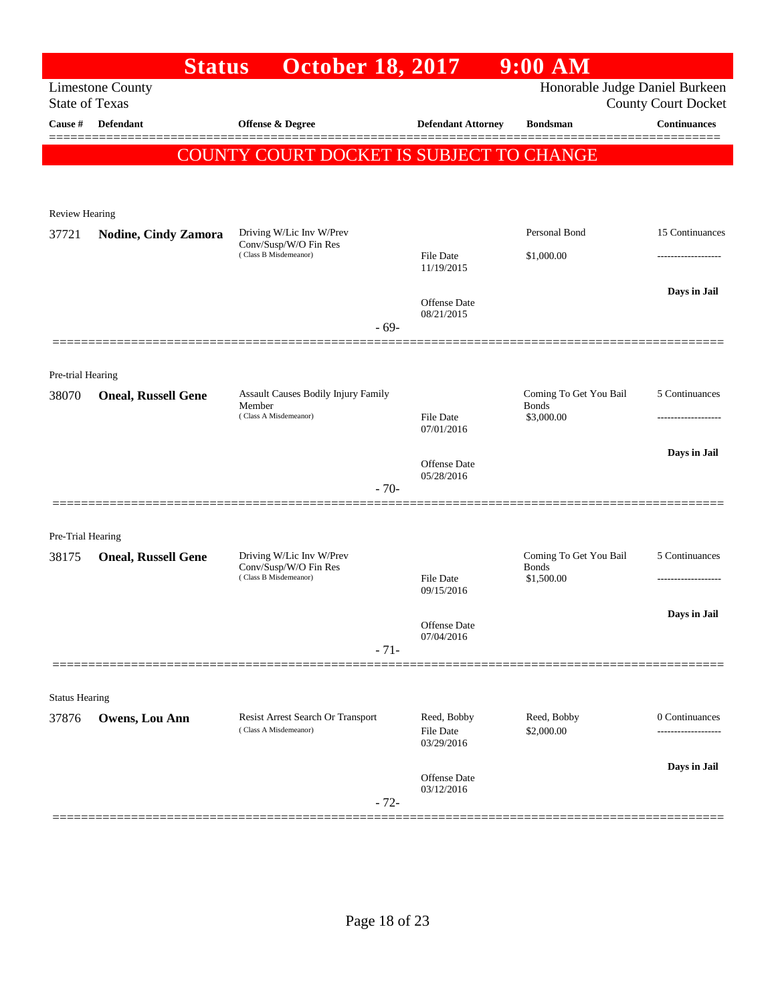|                                | <b>Status</b>              | <b>October 18, 2017</b>                           |        |                                   | $9:00$ AM                      |                            |
|--------------------------------|----------------------------|---------------------------------------------------|--------|-----------------------------------|--------------------------------|----------------------------|
| <b>State of Texas</b>          | <b>Limestone County</b>    |                                                   |        |                                   | Honorable Judge Daniel Burkeen | <b>County Court Docket</b> |
| Cause #                        | <b>Defendant</b>           | <b>Offense &amp; Degree</b>                       |        | <b>Defendant Attorney</b>         | <b>Bondsman</b>                | <b>Continuances</b>        |
|                                |                            | COUNTY COURT DOCKET IS SUBJECT TO CHANGE          |        |                                   |                                |                            |
|                                |                            |                                                   |        |                                   |                                |                            |
| Review Hearing                 |                            |                                                   |        |                                   |                                |                            |
| 37721                          | Nodine, Cindy Zamora       | Driving W/Lic Inv W/Prev<br>Conv/Susp/W/O Fin Res |        |                                   | Personal Bond                  | 15 Continuances            |
|                                |                            | (Class B Misdemeanor)                             |        | <b>File Date</b><br>11/19/2015    | \$1,000.00                     | .                          |
|                                |                            |                                                   |        |                                   |                                | Days in Jail               |
|                                |                            |                                                   |        | <b>Offense Date</b><br>08/21/2015 |                                |                            |
|                                |                            |                                                   | $-69-$ |                                   |                                |                            |
| Pre-trial Hearing              |                            |                                                   |        |                                   |                                |                            |
| 38070                          | <b>Oneal, Russell Gene</b> | <b>Assault Causes Bodily Injury Family</b>        |        |                                   | Coming To Get You Bail         | 5 Continuances             |
|                                |                            | Member<br>(Class A Misdemeanor)                   |        | <b>File Date</b><br>07/01/2016    | <b>Bonds</b><br>\$3,000.00     |                            |
|                                |                            |                                                   |        |                                   |                                | Days in Jail               |
|                                |                            |                                                   |        | <b>Offense Date</b><br>05/28/2016 |                                |                            |
|                                |                            |                                                   | $-70-$ |                                   |                                |                            |
|                                |                            |                                                   |        |                                   |                                |                            |
| Pre-Trial Hearing<br>38175     | <b>Oneal, Russell Gene</b> | Driving W/Lic Inv W/Prev                          |        |                                   | Coming To Get You Bail         | 5 Continuances             |
|                                |                            | Conv/Susp/W/O Fin Res<br>(Class B Misdemeanor)    |        | <b>File Date</b>                  | <b>Bonds</b><br>\$1,500.00     |                            |
|                                |                            |                                                   |        | 09/15/2016                        |                                | Days in Jail               |
|                                |                            |                                                   |        | Offense Date<br>07/04/2016        |                                |                            |
|                                |                            |                                                   | $-71-$ |                                   |                                |                            |
|                                |                            |                                                   |        |                                   |                                |                            |
| <b>Status Hearing</b><br>37876 | Owens, Lou Ann             | Resist Arrest Search Or Transport                 |        | Reed, Bobby                       | Reed, Bobby                    | 0 Continuances             |
|                                |                            | (Class A Misdemeanor)                             |        | <b>File Date</b><br>03/29/2016    | \$2,000.00                     |                            |
|                                |                            |                                                   |        |                                   |                                | Days in Jail               |
|                                |                            |                                                   |        | <b>Offense Date</b><br>03/12/2016 |                                |                            |
|                                |                            |                                                   | $-72-$ |                                   |                                |                            |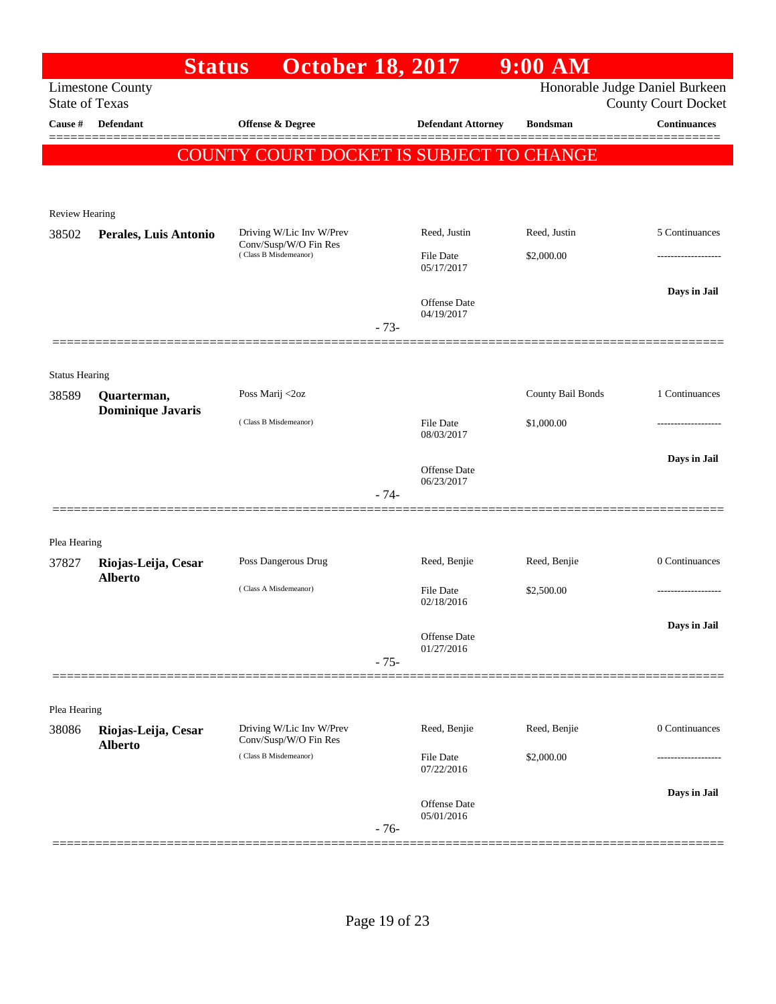|                         | <b>Status</b>                         | <b>October 18, 2017</b>                         |        |                                   | $9:00$ AM         |                                                              |
|-------------------------|---------------------------------------|-------------------------------------------------|--------|-----------------------------------|-------------------|--------------------------------------------------------------|
| <b>State of Texas</b>   | <b>Limestone County</b>               |                                                 |        |                                   |                   | Honorable Judge Daniel Burkeen<br><b>County Court Docket</b> |
| Cause #                 | <b>Defendant</b>                      | <b>Offense &amp; Degree</b>                     |        | <b>Defendant Attorney</b>         | <b>Bondsman</b>   | <b>Continuances</b>                                          |
|                         |                                       | <b>COUNTY COURT DOCKET IS SUBJECT TO CHANGE</b> |        |                                   |                   |                                                              |
|                         |                                       |                                                 |        |                                   |                   |                                                              |
|                         |                                       |                                                 |        |                                   |                   |                                                              |
| Review Hearing<br>38502 | Perales, Luis Antonio                 | Driving W/Lic Inv W/Prev                        |        | Reed, Justin                      | Reed, Justin      | 5 Continuances                                               |
|                         |                                       | Conv/Susp/W/O Fin Res<br>(Class B Misdemeanor)  |        | File Date                         | \$2,000.00        |                                                              |
|                         |                                       |                                                 |        | 05/17/2017                        |                   |                                                              |
|                         |                                       |                                                 |        | <b>Offense Date</b>               |                   | Days in Jail                                                 |
|                         |                                       |                                                 | $-73-$ | 04/19/2017                        |                   |                                                              |
|                         |                                       |                                                 |        |                                   |                   |                                                              |
| <b>Status Hearing</b>   |                                       |                                                 |        |                                   |                   |                                                              |
| 38589                   | Quarterman,                           | Poss Marij <2oz                                 |        |                                   | County Bail Bonds | 1 Continuances                                               |
|                         | <b>Dominique Javaris</b>              | (Class B Misdemeanor)                           |        | <b>File Date</b>                  | \$1,000.00        |                                                              |
|                         |                                       |                                                 |        | 08/03/2017                        |                   |                                                              |
|                         |                                       |                                                 |        | <b>Offense Date</b><br>06/23/2017 |                   | Days in Jail                                                 |
|                         |                                       |                                                 | $-74-$ |                                   |                   |                                                              |
|                         |                                       |                                                 |        |                                   |                   |                                                              |
| Plea Hearing            |                                       |                                                 |        |                                   |                   |                                                              |
| 37827                   | Riojas-Leija, Cesar<br><b>Alberto</b> | Poss Dangerous Drug                             |        | Reed, Benjie                      | Reed, Benjie      | 0 Continuances                                               |
|                         |                                       | (Class A Misdemeanor)                           |        | <b>File Date</b><br>02/18/2016    | \$2,500.00        |                                                              |
|                         |                                       |                                                 |        |                                   |                   | Days in Jail                                                 |
|                         |                                       |                                                 |        | Offense Date<br>01/27/2016        |                   |                                                              |
|                         |                                       |                                                 | $-75-$ |                                   |                   |                                                              |
|                         |                                       |                                                 |        |                                   |                   |                                                              |
| Plea Hearing            |                                       | Driving W/Lic Inv W/Prev                        |        | Reed, Benjie                      | Reed, Benjie      | 0 Continuances                                               |
| 38086                   | Riojas-Leija, Cesar<br><b>Alberto</b> | Conv/Susp/W/O Fin Res                           |        |                                   |                   |                                                              |
|                         |                                       | (Class B Misdemeanor)                           |        | <b>File Date</b><br>07/22/2016    | \$2,000.00        |                                                              |
|                         |                                       |                                                 |        |                                   |                   | Days in Jail                                                 |
|                         |                                       |                                                 |        | Offense Date<br>05/01/2016        |                   |                                                              |
|                         |                                       |                                                 | $-76-$ |                                   |                   |                                                              |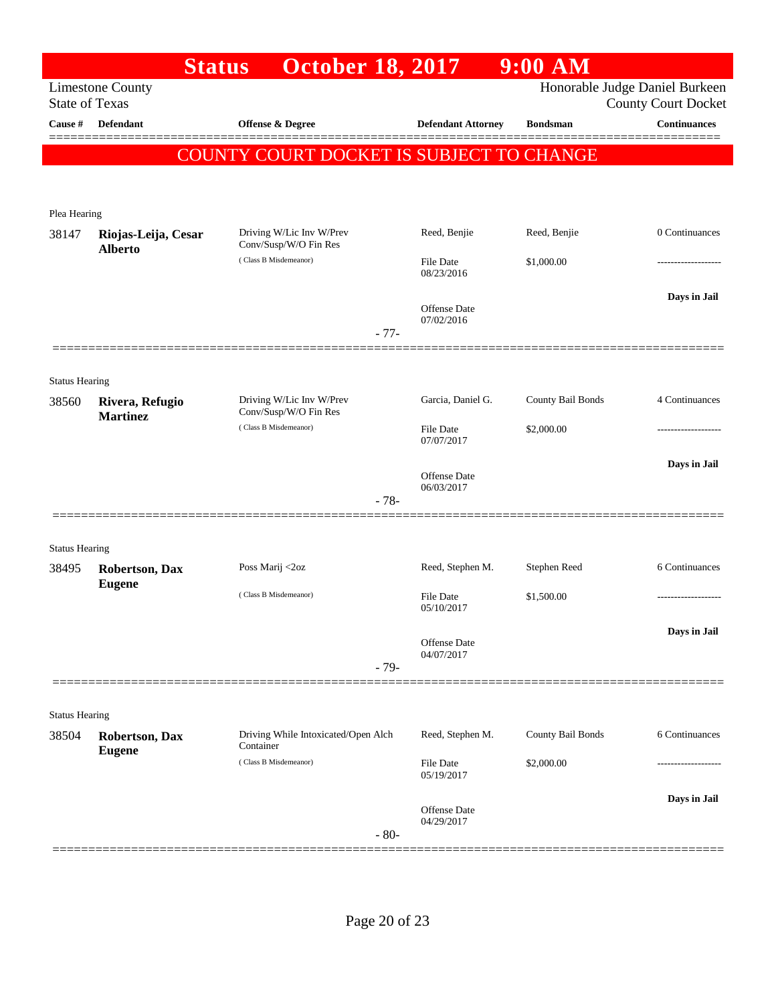|                       | <b>Status</b>                           | <b>October 18, 2017</b>                           |                                   | $9:00$ AM         |                                                              |
|-----------------------|-----------------------------------------|---------------------------------------------------|-----------------------------------|-------------------|--------------------------------------------------------------|
| <b>State of Texas</b> | <b>Limestone County</b>                 |                                                   |                                   |                   | Honorable Judge Daniel Burkeen<br><b>County Court Docket</b> |
| Cause #               | Defendant                               | Offense & Degree                                  | <b>Defendant Attorney</b>         | <b>Bondsman</b>   | <b>Continuances</b>                                          |
|                       |                                         | COUNTY COURT DOCKET IS SUBJECT TO CHANGE          |                                   |                   |                                                              |
|                       |                                         |                                                   |                                   |                   |                                                              |
| Plea Hearing          |                                         |                                                   |                                   |                   |                                                              |
| 38147                 | Riojas-Leija, Cesar<br><b>Alberto</b>   | Driving W/Lic Inv W/Prev<br>Conv/Susp/W/O Fin Res | Reed, Benjie                      | Reed, Benjie      | 0 Continuances                                               |
|                       |                                         | (Class B Misdemeanor)                             | <b>File Date</b><br>08/23/2016    | \$1,000.00        | .                                                            |
|                       |                                         |                                                   | <b>Offense Date</b><br>07/02/2016 |                   | Days in Jail                                                 |
|                       |                                         | $-77-$                                            |                                   |                   |                                                              |
| <b>Status Hearing</b> |                                         |                                                   |                                   |                   |                                                              |
| 38560                 | Rivera, Refugio<br><b>Martinez</b>      | Driving W/Lic Inv W/Prev<br>Conv/Susp/W/O Fin Res | Garcia, Daniel G.                 | County Bail Bonds | 4 Continuances                                               |
|                       |                                         | (Class B Misdemeanor)                             | <b>File Date</b><br>07/07/2017    | \$2,000.00        |                                                              |
|                       |                                         |                                                   | <b>Offense Date</b><br>06/03/2017 |                   | Days in Jail                                                 |
|                       |                                         | $-78-$                                            |                                   |                   |                                                              |
| <b>Status Hearing</b> |                                         |                                                   |                                   |                   |                                                              |
| 38495                 | <b>Robertson</b> , Dax<br><b>Eugene</b> | Poss Marij <2oz                                   | Reed, Stephen M.                  | Stephen Reed      | 6 Continuances                                               |
|                       |                                         | (Class B Misdemeanor)                             | File Date<br>05/10/2017           | \$1,500.00        |                                                              |
|                       |                                         |                                                   | <b>Offense Date</b><br>04/07/2017 |                   | Days in Jail                                                 |
|                       |                                         | $-79-$                                            |                                   |                   |                                                              |
| <b>Status Hearing</b> |                                         |                                                   |                                   |                   |                                                              |
| 38504                 | Robertson, Dax<br><b>Eugene</b>         | Driving While Intoxicated/Open Alch<br>Container  | Reed, Stephen M.                  | County Bail Bonds | 6 Continuances                                               |
|                       |                                         | (Class B Misdemeanor)                             | <b>File Date</b><br>05/19/2017    | \$2,000.00        |                                                              |
|                       |                                         |                                                   | Offense Date<br>04/29/2017        |                   | Days in Jail                                                 |
|                       |                                         | $-80-$                                            |                                   |                   |                                                              |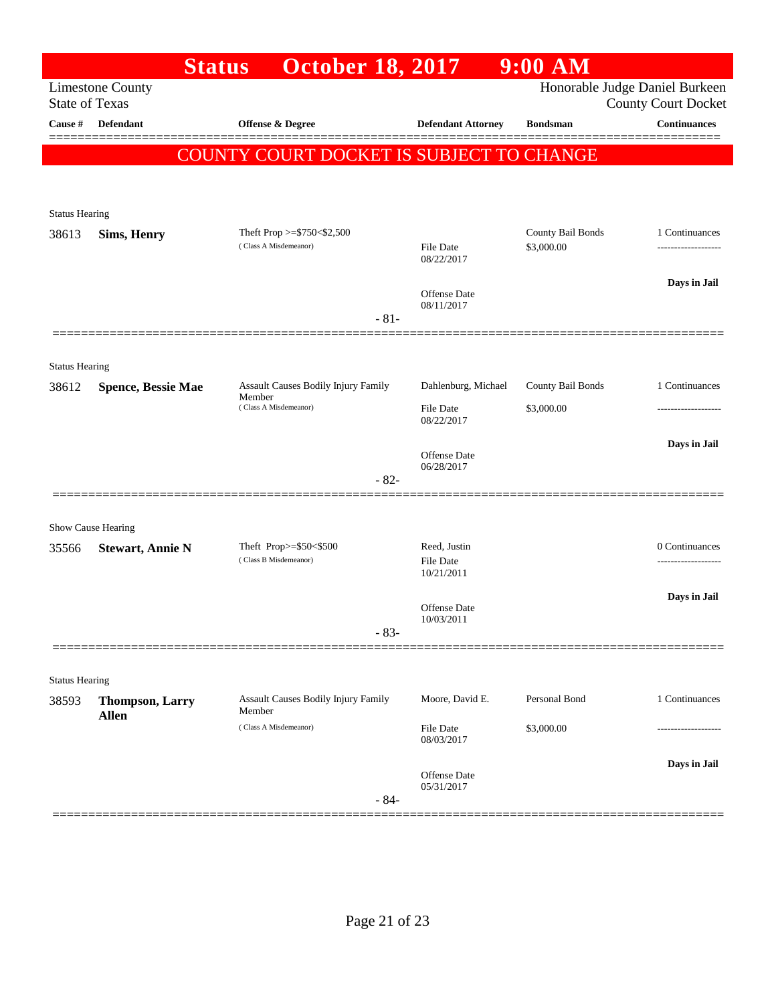|                       |                                               | <b>Status</b>                                                          | <b>October 18, 2017</b>                    |                                                       |                                | $9:00$ AM                                |                                                              |
|-----------------------|-----------------------------------------------|------------------------------------------------------------------------|--------------------------------------------|-------------------------------------------------------|--------------------------------|------------------------------------------|--------------------------------------------------------------|
| <b>State of Texas</b> | <b>Limestone County</b>                       |                                                                        |                                            |                                                       |                                |                                          | Honorable Judge Daniel Burkeen<br><b>County Court Docket</b> |
| Cause #               | <b>Defendant</b>                              | Offense & Degree                                                       |                                            |                                                       | <b>Defendant Attorney</b>      | <b>Bondsman</b>                          | <b>Continuances</b>                                          |
|                       |                                               |                                                                        |                                            |                                                       |                                | COUNTY COURT DOCKET IS SUBJECT TO CHANGE |                                                              |
|                       |                                               |                                                                        |                                            |                                                       |                                |                                          |                                                              |
| <b>Status Hearing</b> |                                               |                                                                        |                                            |                                                       |                                |                                          |                                                              |
| 38613                 | <b>Sims, Henry</b>                            | Theft Prop >=\$750<\$2,500                                             |                                            |                                                       |                                | County Bail Bonds                        | 1 Continuances                                               |
|                       |                                               | (Class A Misdemeanor)                                                  |                                            |                                                       | File Date<br>08/22/2017        | \$3,000.00                               |                                                              |
|                       |                                               |                                                                        |                                            |                                                       | Offense Date                   |                                          | Days in Jail                                                 |
|                       |                                               |                                                                        |                                            | $-81-$                                                | 08/11/2017                     |                                          |                                                              |
|                       |                                               |                                                                        |                                            |                                                       |                                |                                          |                                                              |
| <b>Status Hearing</b> |                                               |                                                                        |                                            |                                                       |                                | County Bail Bonds                        | 1 Continuances                                               |
| 38612                 | <b>Spence, Bessie Mae</b>                     | Assault Causes Bodily Injury Family<br>Member<br>(Class A Misdemeanor) |                                            | Dahlenburg, Michael<br><b>File Date</b><br>\$3,000.00 |                                |                                          |                                                              |
|                       |                                               |                                                                        |                                            |                                                       | 08/22/2017                     |                                          |                                                              |
|                       |                                               |                                                                        |                                            |                                                       | Offense Date                   |                                          | Days in Jail                                                 |
|                       |                                               |                                                                        |                                            | $-82-$                                                | 06/28/2017                     |                                          |                                                              |
|                       |                                               |                                                                        |                                            |                                                       |                                |                                          |                                                              |
| 35566                 | Show Cause Hearing<br><b>Stewart, Annie N</b> | Theft Prop>=\$50<\$500                                                 |                                            |                                                       | Reed, Justin                   |                                          | 0 Continuances                                               |
|                       |                                               | (Class B Misdemeanor)                                                  |                                            |                                                       | File Date<br>10/21/2011        |                                          |                                                              |
|                       |                                               |                                                                        |                                            |                                                       |                                |                                          | Days in Jail                                                 |
|                       |                                               |                                                                        |                                            |                                                       | Offense Date<br>10/03/2011     |                                          |                                                              |
|                       |                                               |                                                                        |                                            | $-83-$                                                |                                |                                          |                                                              |
| <b>Status Hearing</b> |                                               |                                                                        |                                            |                                                       |                                |                                          |                                                              |
| 38593                 | <b>Thompson, Larry</b>                        | Member                                                                 | <b>Assault Causes Bodily Injury Family</b> |                                                       | Moore, David E.                | Personal Bond                            | 1 Continuances                                               |
|                       | <b>Allen</b>                                  | (Class A Misdemeanor)                                                  |                                            |                                                       | <b>File Date</b><br>08/03/2017 | \$3,000.00                               |                                                              |
|                       |                                               |                                                                        |                                            |                                                       |                                |                                          | Days in Jail                                                 |
|                       |                                               |                                                                        |                                            | - 84-                                                 | Offense Date<br>05/31/2017     |                                          |                                                              |
|                       |                                               |                                                                        |                                            |                                                       |                                |                                          |                                                              |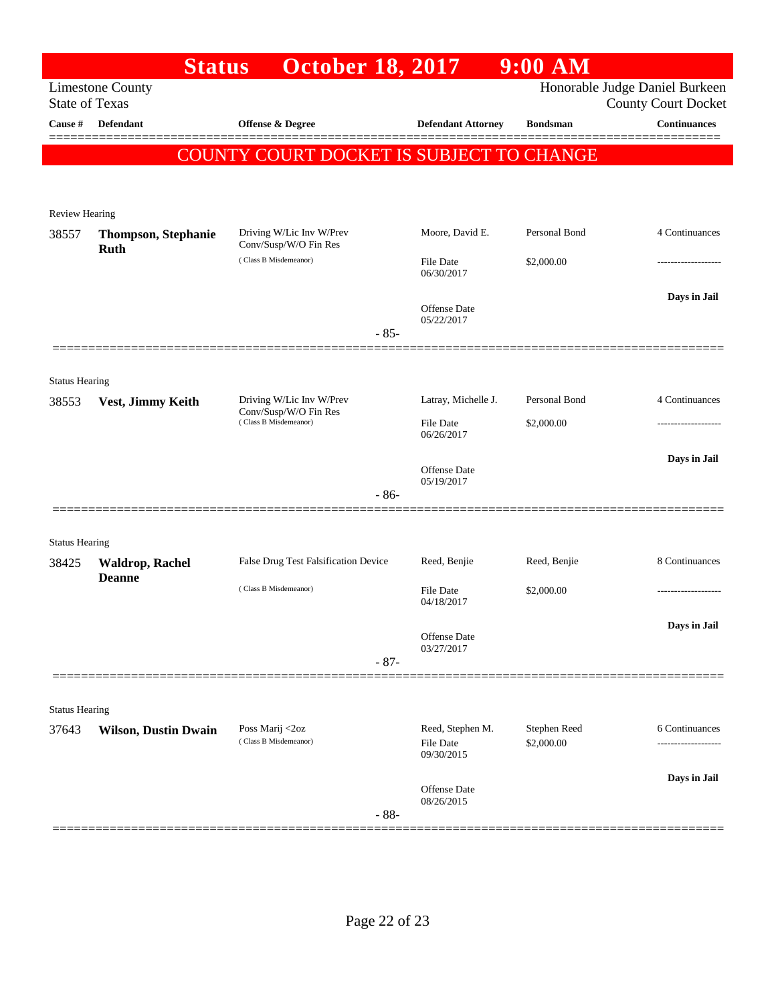|                       | <b>Status</b>                             | <b>October 18, 2017</b>                           |                                             | $9:00$ AM                  |                                                              |
|-----------------------|-------------------------------------------|---------------------------------------------------|---------------------------------------------|----------------------------|--------------------------------------------------------------|
| <b>State of Texas</b> | <b>Limestone County</b>                   |                                                   |                                             |                            | Honorable Judge Daniel Burkeen<br><b>County Court Docket</b> |
| Cause #               | <b>Defendant</b>                          | Offense & Degree                                  | <b>Defendant Attorney</b>                   | <b>Bondsman</b>            | <b>Continuances</b>                                          |
|                       |                                           | COUNTY COURT DOCKET IS SUBJECT TO CHANGE          |                                             |                            |                                                              |
|                       |                                           |                                                   |                                             |                            |                                                              |
| <b>Review Hearing</b> |                                           |                                                   |                                             |                            |                                                              |
| 38557                 | <b>Thompson, Stephanie</b><br><b>Ruth</b> | Driving W/Lic Inv W/Prev<br>Conv/Susp/W/O Fin Res | Moore, David E.                             | Personal Bond              | 4 Continuances                                               |
|                       |                                           | (Class B Misdemeanor)                             | <b>File Date</b><br>06/30/2017              | \$2,000.00                 | -----------------                                            |
|                       |                                           |                                                   | Offense Date<br>05/22/2017                  |                            | Days in Jail                                                 |
|                       |                                           | $-85-$                                            |                                             |                            |                                                              |
| <b>Status Hearing</b> |                                           |                                                   |                                             |                            |                                                              |
| 38553                 | Vest, Jimmy Keith                         | Driving W/Lic Inv W/Prev<br>Conv/Susp/W/O Fin Res | Latray, Michelle J.                         | Personal Bond              | 4 Continuances                                               |
|                       |                                           | (Class B Misdemeanor)                             | <b>File Date</b><br>06/26/2017              | \$2,000.00                 |                                                              |
|                       |                                           |                                                   | <b>Offense Date</b><br>05/19/2017           |                            | Days in Jail                                                 |
|                       |                                           | $-86-$                                            |                                             |                            |                                                              |
| <b>Status Hearing</b> |                                           |                                                   |                                             |                            |                                                              |
| 38425                 | <b>Waldrop, Rachel</b><br><b>Deanne</b>   | False Drug Test Falsification Device              | Reed, Benjie                                | Reed, Benjie               | 8 Continuances                                               |
|                       |                                           | (Class B Misdemeanor)                             | <b>File Date</b><br>04/18/2017              | \$2,000.00                 |                                                              |
|                       |                                           |                                                   | Offense Date<br>03/27/2017                  |                            | Days in Jail                                                 |
|                       |                                           | $-87-$                                            |                                             |                            |                                                              |
| <b>Status Hearing</b> |                                           |                                                   |                                             |                            |                                                              |
| 37643                 | <b>Wilson, Dustin Dwain</b>               | Poss Marij <2oz<br>(Class B Misdemeanor)          | Reed, Stephen M.<br>File Date<br>09/30/2015 | Stephen Reed<br>\$2,000.00 | 6 Continuances<br>.                                          |
|                       |                                           | $-88-$                                            | <b>Offense Date</b><br>08/26/2015           |                            | Days in Jail                                                 |